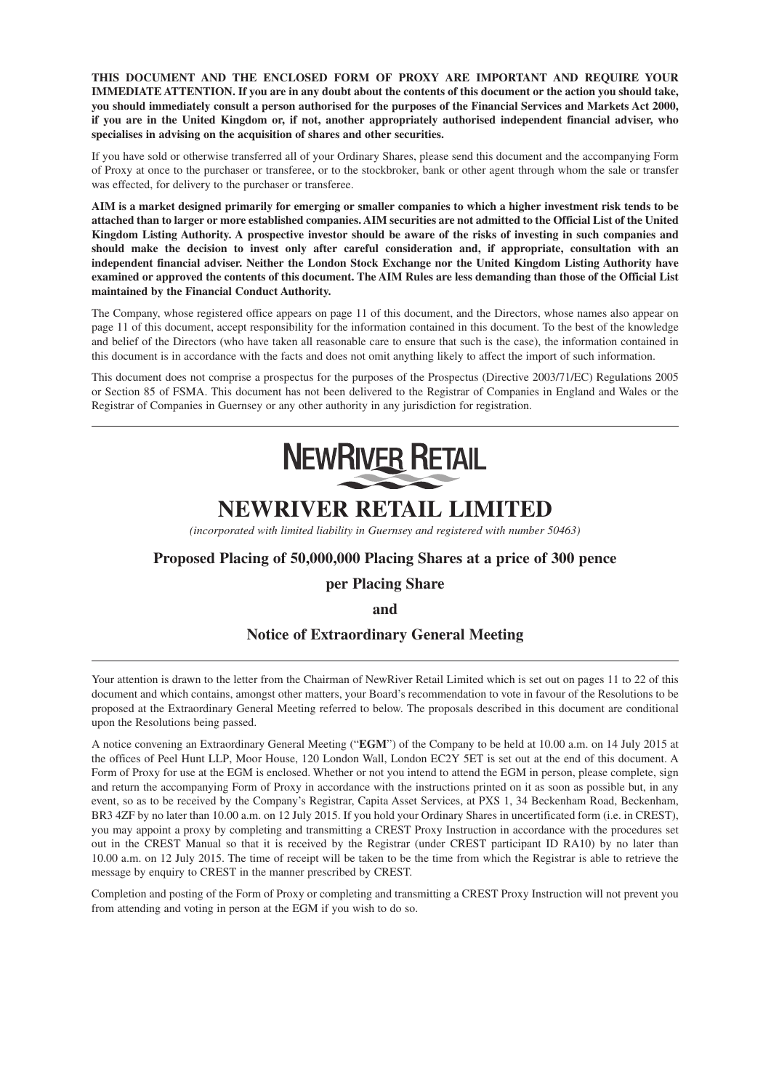**THIS DOCUMENT AND THE ENCLOSED FORM OF PROXY ARE IMPORTANT AND REQUIRE YOUR IMMEDIATE ATTENTION. If you are in any doubt about the contents of this document or the action you should take, you should immediately consult a person authorised for the purposes of the Financial Services and Markets Act 2000, if you are in the United Kingdom or, if not, another appropriately authorised independent financial adviser, who specialises in advising on the acquisition of shares and other securities.**

If you have sold or otherwise transferred all of your Ordinary Shares, please send this document and the accompanying Form of Proxy at once to the purchaser or transferee, or to the stockbroker, bank or other agent through whom the sale or transfer was effected, for delivery to the purchaser or transferee.

**AIM is a market designed primarily for emerging or smaller companies to which a higher investment risk tends to be attached than to larger or more established companies. AIM securities are not admitted to the Official List of the United Kingdom Listing Authority. A prospective investor should be aware of the risks of investing in such companies and should make the decision to invest only after careful consideration and, if appropriate, consultation with an independent financial adviser. Neither the London Stock Exchange nor the United Kingdom Listing Authority have examined or approved the contents of this document. The AIM Rules are less demanding than those of the Official List maintained by the Financial Conduct Authority.**

The Company, whose registered office appears on page 11 of this document, and the Directors, whose names also appear on page 11 of this document, accept responsibility for the information contained in this document. To the best of the knowledge and belief of the Directors (who have taken all reasonable care to ensure that such is the case), the information contained in this document is in accordance with the facts and does not omit anything likely to affect the import of such information.

This document does not comprise a prospectus for the purposes of the Prospectus (Directive 2003/71/EC) Regulations 2005 or Section 85 of FSMA. This document has not been delivered to the Registrar of Companies in England and Wales or the Registrar of Companies in Guernsey or any other authority in any jurisdiction for registration.



# **NEWRIVER RETAIL LIMITED**

*(incorporated with limited liability in Guernsey and registered with number 50463)*

## **Proposed Placing of 50,000,000 Placing Shares at a price of 300 pence**

#### **per Placing Share**

**and**

#### **Notice of Extraordinary General Meeting**

Your attention is drawn to the letter from the Chairman of NewRiver Retail Limited which is set out on pages 11 to 22 of this document and which contains, amongst other matters, your Board's recommendation to vote in favour of the Resolutions to be proposed at the Extraordinary General Meeting referred to below. The proposals described in this document are conditional upon the Resolutions being passed.

A notice convening an Extraordinary General Meeting ("**EGM**") of the Company to be held at 10.00 a.m. on 14 July 2015 at the offices of Peel Hunt LLP, Moor House, 120 London Wall, London EC2Y 5ET is set out at the end of this document. A Form of Proxy for use at the EGM is enclosed. Whether or not you intend to attend the EGM in person, please complete, sign and return the accompanying Form of Proxy in accordance with the instructions printed on it as soon as possible but, in any event, so as to be received by the Company's Registrar, Capita Asset Services, at PXS 1, 34 Beckenham Road, Beckenham, BR3 4ZF by no later than 10.00 a.m. on 12 July 2015. If you hold your Ordinary Shares in uncertificated form (i.e. in CREST), you may appoint a proxy by completing and transmitting a CREST Proxy Instruction in accordance with the procedures set out in the CREST Manual so that it is received by the Registrar (under CREST participant ID RA10) by no later than 10.00 a.m. on 12 July 2015. The time of receipt will be taken to be the time from which the Registrar is able to retrieve the message by enquiry to CREST in the manner prescribed by CREST.

Completion and posting of the Form of Proxy or completing and transmitting a CREST Proxy Instruction will not prevent you from attending and voting in person at the EGM if you wish to do so.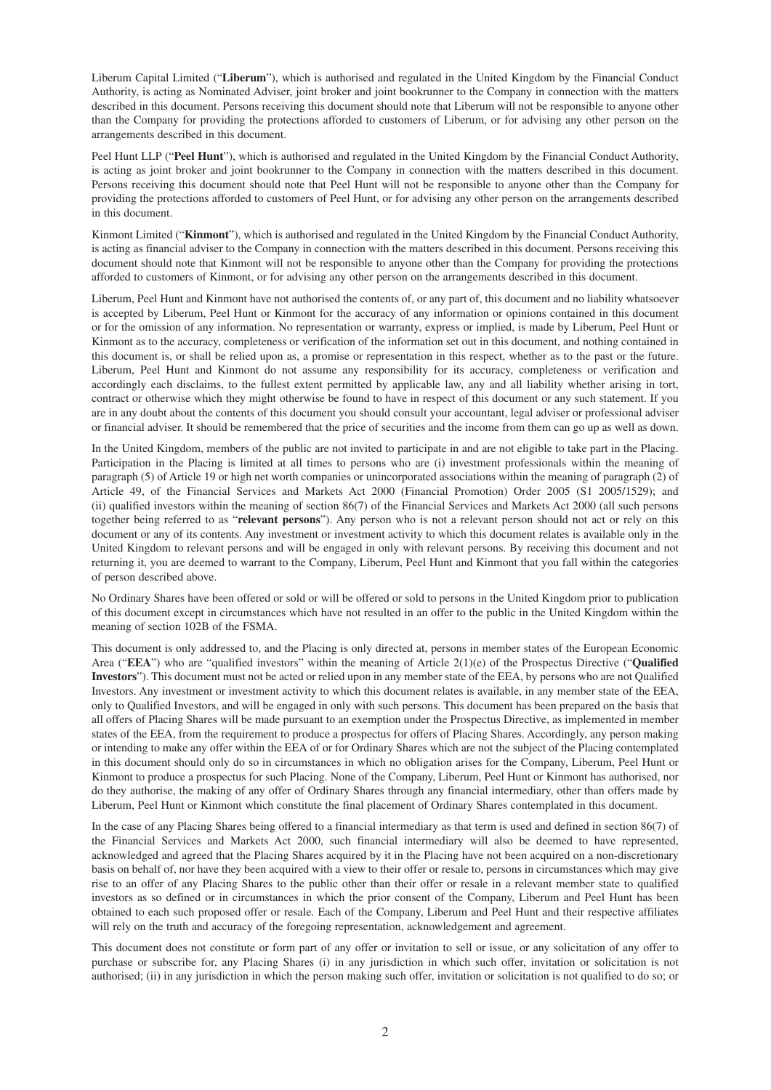Liberum Capital Limited ("**Liberum**"), which is authorised and regulated in the United Kingdom by the Financial Conduct Authority, is acting as Nominated Adviser, joint broker and joint bookrunner to the Company in connection with the matters described in this document. Persons receiving this document should note that Liberum will not be responsible to anyone other than the Company for providing the protections afforded to customers of Liberum, or for advising any other person on the arrangements described in this document.

Peel Hunt LLP ("**Peel Hunt**"), which is authorised and regulated in the United Kingdom by the Financial Conduct Authority, is acting as joint broker and joint bookrunner to the Company in connection with the matters described in this document. Persons receiving this document should note that Peel Hunt will not be responsible to anyone other than the Company for providing the protections afforded to customers of Peel Hunt, or for advising any other person on the arrangements described in this document.

Kinmont Limited ("**Kinmont**"), which is authorised and regulated in the United Kingdom by the Financial Conduct Authority, is acting as financial adviser to the Company in connection with the matters described in this document. Persons receiving this document should note that Kinmont will not be responsible to anyone other than the Company for providing the protections afforded to customers of Kinmont, or for advising any other person on the arrangements described in this document.

Liberum, Peel Hunt and Kinmont have not authorised the contents of, or any part of, this document and no liability whatsoever is accepted by Liberum, Peel Hunt or Kinmont for the accuracy of any information or opinions contained in this document or for the omission of any information. No representation or warranty, express or implied, is made by Liberum, Peel Hunt or Kinmont as to the accuracy, completeness or verification of the information set out in this document, and nothing contained in this document is, or shall be relied upon as, a promise or representation in this respect, whether as to the past or the future. Liberum, Peel Hunt and Kinmont do not assume any responsibility for its accuracy, completeness or verification and accordingly each disclaims, to the fullest extent permitted by applicable law, any and all liability whether arising in tort, contract or otherwise which they might otherwise be found to have in respect of this document or any such statement. If you are in any doubt about the contents of this document you should consult your accountant, legal adviser or professional adviser or financial adviser. It should be remembered that the price of securities and the income from them can go up as well as down.

In the United Kingdom, members of the public are not invited to participate in and are not eligible to take part in the Placing. Participation in the Placing is limited at all times to persons who are (i) investment professionals within the meaning of paragraph (5) of Article 19 or high net worth companies or unincorporated associations within the meaning of paragraph (2) of Article 49, of the Financial Services and Markets Act 2000 (Financial Promotion) Order 2005 (S1 2005/1529); and (ii) qualified investors within the meaning of section 86(7) of the Financial Services and Markets Act 2000 (all such persons together being referred to as "**relevant persons**"). Any person who is not a relevant person should not act or rely on this document or any of its contents. Any investment or investment activity to which this document relates is available only in the United Kingdom to relevant persons and will be engaged in only with relevant persons. By receiving this document and not returning it, you are deemed to warrant to the Company, Liberum, Peel Hunt and Kinmont that you fall within the categories of person described above.

No Ordinary Shares have been offered or sold or will be offered or sold to persons in the United Kingdom prior to publication of this document except in circumstances which have not resulted in an offer to the public in the United Kingdom within the meaning of section 102B of the FSMA.

This document is only addressed to, and the Placing is only directed at, persons in member states of the European Economic Area ("**EEA**") who are "qualified investors" within the meaning of Article 2(1)(e) of the Prospectus Directive ("**Qualified Investors**"). This document must not be acted or relied upon in any member state of the EEA, by persons who are not Qualified Investors. Any investment or investment activity to which this document relates is available, in any member state of the EEA, only to Qualified Investors, and will be engaged in only with such persons. This document has been prepared on the basis that all offers of Placing Shares will be made pursuant to an exemption under the Prospectus Directive, as implemented in member states of the EEA, from the requirement to produce a prospectus for offers of Placing Shares. Accordingly, any person making or intending to make any offer within the EEA of or for Ordinary Shares which are not the subject of the Placing contemplated in this document should only do so in circumstances in which no obligation arises for the Company, Liberum, Peel Hunt or Kinmont to produce a prospectus for such Placing. None of the Company, Liberum, Peel Hunt or Kinmont has authorised, nor do they authorise, the making of any offer of Ordinary Shares through any financial intermediary, other than offers made by Liberum, Peel Hunt or Kinmont which constitute the final placement of Ordinary Shares contemplated in this document.

In the case of any Placing Shares being offered to a financial intermediary as that term is used and defined in section 86(7) of the Financial Services and Markets Act 2000, such financial intermediary will also be deemed to have represented, acknowledged and agreed that the Placing Shares acquired by it in the Placing have not been acquired on a non-discretionary basis on behalf of, nor have they been acquired with a view to their offer or resale to, persons in circumstances which may give rise to an offer of any Placing Shares to the public other than their offer or resale in a relevant member state to qualified investors as so defined or in circumstances in which the prior consent of the Company, Liberum and Peel Hunt has been obtained to each such proposed offer or resale. Each of the Company, Liberum and Peel Hunt and their respective affiliates will rely on the truth and accuracy of the foregoing representation, acknowledgement and agreement.

This document does not constitute or form part of any offer or invitation to sell or issue, or any solicitation of any offer to purchase or subscribe for, any Placing Shares (i) in any jurisdiction in which such offer, invitation or solicitation is not authorised; (ii) in any jurisdiction in which the person making such offer, invitation or solicitation is not qualified to do so; or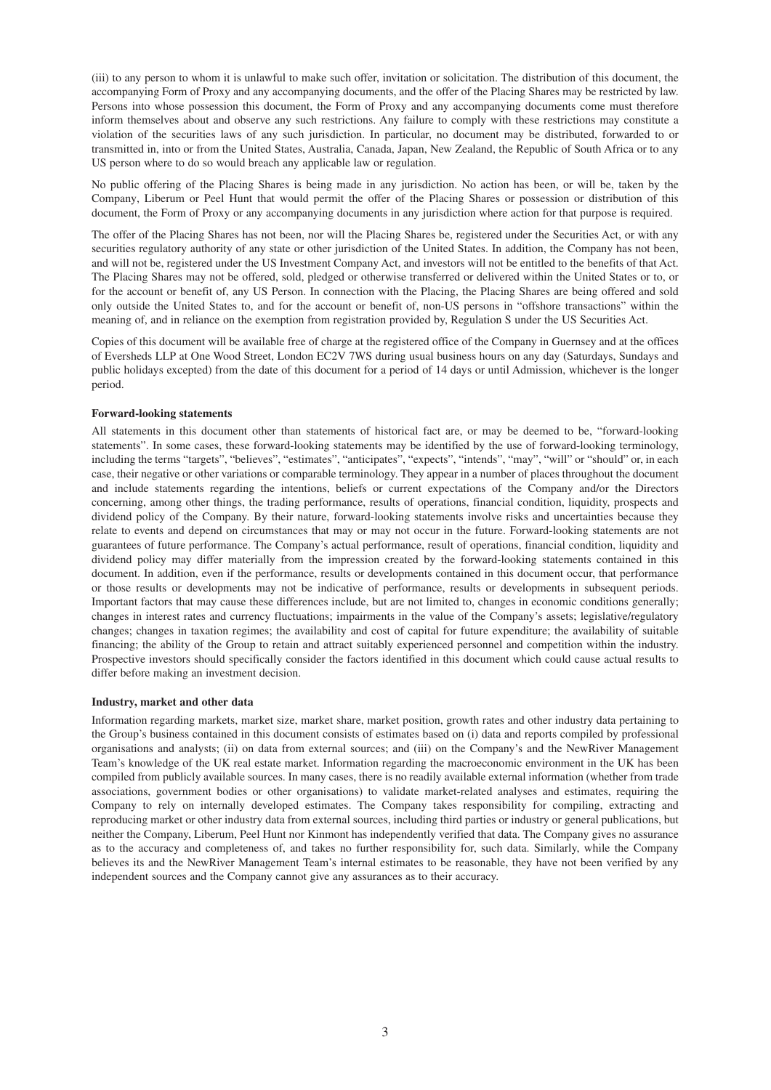(iii) to any person to whom it is unlawful to make such offer, invitation or solicitation. The distribution of this document, the accompanying Form of Proxy and any accompanying documents, and the offer of the Placing Shares may be restricted by law. Persons into whose possession this document, the Form of Proxy and any accompanying documents come must therefore inform themselves about and observe any such restrictions. Any failure to comply with these restrictions may constitute a violation of the securities laws of any such jurisdiction. In particular, no document may be distributed, forwarded to or transmitted in, into or from the United States, Australia, Canada, Japan, New Zealand, the Republic of South Africa or to any US person where to do so would breach any applicable law or regulation.

No public offering of the Placing Shares is being made in any jurisdiction. No action has been, or will be, taken by the Company, Liberum or Peel Hunt that would permit the offer of the Placing Shares or possession or distribution of this document, the Form of Proxy or any accompanying documents in any jurisdiction where action for that purpose is required.

The offer of the Placing Shares has not been, nor will the Placing Shares be, registered under the Securities Act, or with any securities regulatory authority of any state or other jurisdiction of the United States. In addition, the Company has not been, and will not be, registered under the US Investment Company Act, and investors will not be entitled to the benefits of that Act. The Placing Shares may not be offered, sold, pledged or otherwise transferred or delivered within the United States or to, or for the account or benefit of, any US Person. In connection with the Placing, the Placing Shares are being offered and sold only outside the United States to, and for the account or benefit of, non-US persons in "offshore transactions" within the meaning of, and in reliance on the exemption from registration provided by, Regulation S under the US Securities Act.

Copies of this document will be available free of charge at the registered office of the Company in Guernsey and at the offices of Eversheds LLP at One Wood Street, London EC2V 7WS during usual business hours on any day (Saturdays, Sundays and public holidays excepted) from the date of this document for a period of 14 days or until Admission, whichever is the longer period.

#### **Forward-looking statements**

All statements in this document other than statements of historical fact are, or may be deemed to be, "forward-looking statements". In some cases, these forward-looking statements may be identified by the use of forward-looking terminology, including the terms "targets", "believes", "estimates", "anticipates", "expects", "intends", "may", "will" or "should" or, in each case, their negative or other variations or comparable terminology. They appear in a number of places throughout the document and include statements regarding the intentions, beliefs or current expectations of the Company and/or the Directors concerning, among other things, the trading performance, results of operations, financial condition, liquidity, prospects and dividend policy of the Company. By their nature, forward-looking statements involve risks and uncertainties because they relate to events and depend on circumstances that may or may not occur in the future. Forward-looking statements are not guarantees of future performance. The Company's actual performance, result of operations, financial condition, liquidity and dividend policy may differ materially from the impression created by the forward-looking statements contained in this document. In addition, even if the performance, results or developments contained in this document occur, that performance or those results or developments may not be indicative of performance, results or developments in subsequent periods. Important factors that may cause these differences include, but are not limited to, changes in economic conditions generally; changes in interest rates and currency fluctuations; impairments in the value of the Company's assets; legislative/regulatory changes; changes in taxation regimes; the availability and cost of capital for future expenditure; the availability of suitable financing; the ability of the Group to retain and attract suitably experienced personnel and competition within the industry. Prospective investors should specifically consider the factors identified in this document which could cause actual results to differ before making an investment decision.

#### **Industry, market and other data**

Information regarding markets, market size, market share, market position, growth rates and other industry data pertaining to the Group's business contained in this document consists of estimates based on (i) data and reports compiled by professional organisations and analysts; (ii) on data from external sources; and (iii) on the Company's and the NewRiver Management Team's knowledge of the UK real estate market. Information regarding the macroeconomic environment in the UK has been compiled from publicly available sources. In many cases, there is no readily available external information (whether from trade associations, government bodies or other organisations) to validate market-related analyses and estimates, requiring the Company to rely on internally developed estimates. The Company takes responsibility for compiling, extracting and reproducing market or other industry data from external sources, including third parties or industry or general publications, but neither the Company, Liberum, Peel Hunt nor Kinmont has independently verified that data. The Company gives no assurance as to the accuracy and completeness of, and takes no further responsibility for, such data. Similarly, while the Company believes its and the NewRiver Management Team's internal estimates to be reasonable, they have not been verified by any independent sources and the Company cannot give any assurances as to their accuracy.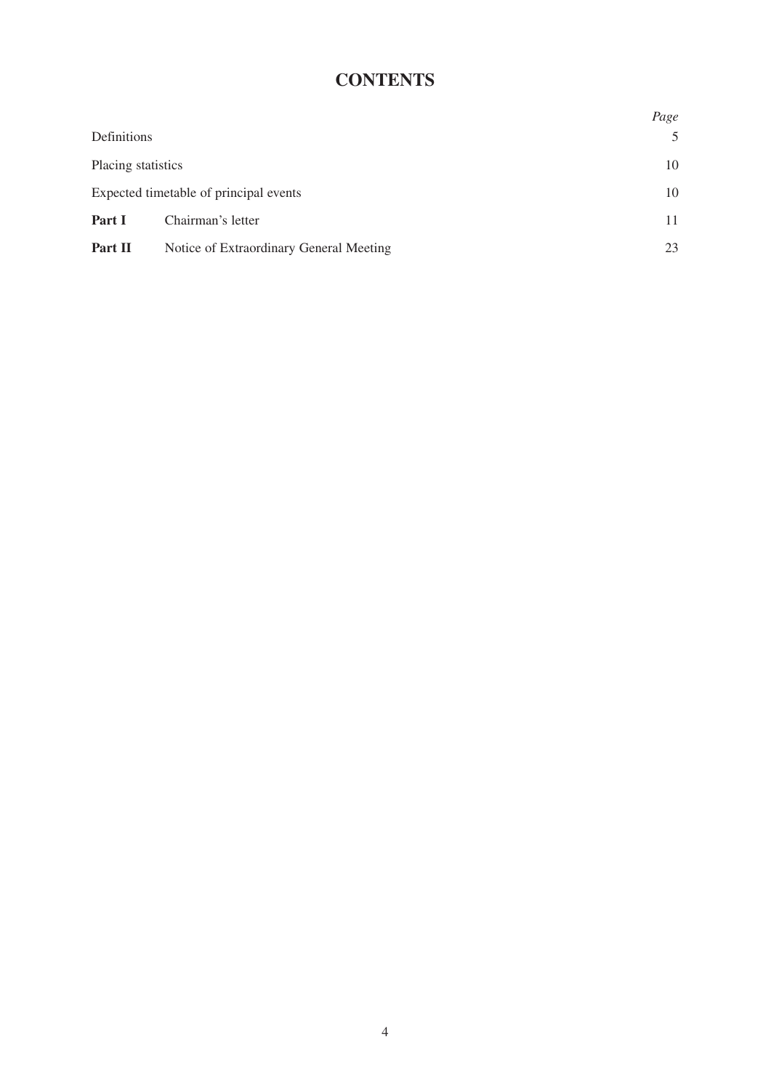# **CONTENTS**

|                                                    | Page |
|----------------------------------------------------|------|
| <b>Definitions</b>                                 | 5    |
| Placing statistics                                 | 10   |
| Expected timetable of principal events             | 10   |
| Part I<br>Chairman's letter                        | 11   |
| Part II<br>Notice of Extraordinary General Meeting | 23   |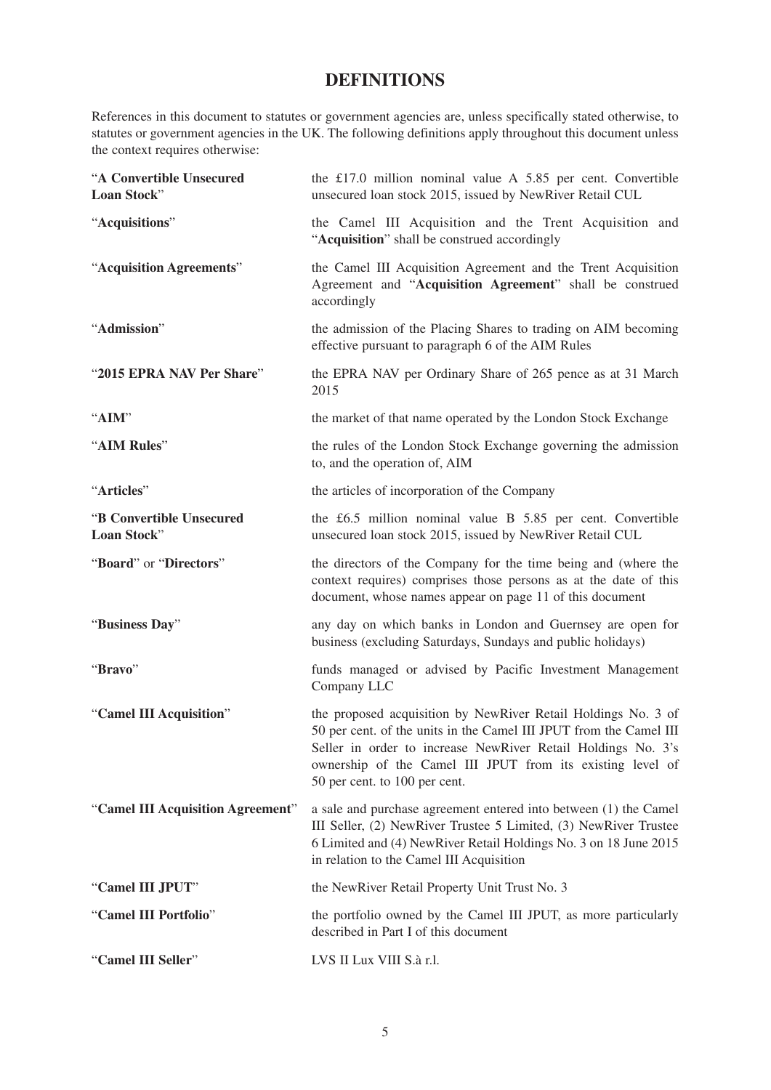# **DEFINITIONS**

References in this document to statutes or government agencies are, unless specifically stated otherwise, to statutes or government agencies in the UK. The following definitions apply throughout this document unless the context requires otherwise:

| "A Convertible Unsecured<br>Loan Stock" | the £17.0 million nominal value A $5.85$ per cent. Convertible<br>unsecured loan stock 2015, issued by NewRiver Retail CUL                                                                                                                                                                         |
|-----------------------------------------|----------------------------------------------------------------------------------------------------------------------------------------------------------------------------------------------------------------------------------------------------------------------------------------------------|
| "Acquisitions"                          | the Camel III Acquisition and the Trent Acquisition and<br>"Acquisition" shall be construed accordingly                                                                                                                                                                                            |
| "Acquisition Agreements"                | the Camel III Acquisition Agreement and the Trent Acquisition<br>Agreement and "Acquisition Agreement" shall be construed<br>accordingly                                                                                                                                                           |
| "Admission"                             | the admission of the Placing Shares to trading on AIM becoming<br>effective pursuant to paragraph 6 of the AIM Rules                                                                                                                                                                               |
| "2015 EPRA NAV Per Share"               | the EPRA NAV per Ordinary Share of 265 pence as at 31 March<br>2015                                                                                                                                                                                                                                |
| "AIM"                                   | the market of that name operated by the London Stock Exchange                                                                                                                                                                                                                                      |
| "AIM Rules"                             | the rules of the London Stock Exchange governing the admission<br>to, and the operation of, AIM                                                                                                                                                                                                    |
| "Articles"                              | the articles of incorporation of the Company                                                                                                                                                                                                                                                       |
| "B Convertible Unsecured<br>Loan Stock" | the £6.5 million nominal value B 5.85 per cent. Convertible<br>unsecured loan stock 2015, issued by NewRiver Retail CUL                                                                                                                                                                            |
| "Board" or "Directors"                  | the directors of the Company for the time being and (where the<br>context requires) comprises those persons as at the date of this<br>document, whose names appear on page 11 of this document                                                                                                     |
| "Business Day"                          | any day on which banks in London and Guernsey are open for<br>business (excluding Saturdays, Sundays and public holidays)                                                                                                                                                                          |
| "Bravo"                                 | funds managed or advised by Pacific Investment Management<br>Company LLC                                                                                                                                                                                                                           |
| "Camel III Acquisition"                 | the proposed acquisition by NewRiver Retail Holdings No. 3 of<br>50 per cent. of the units in the Camel III JPUT from the Camel III<br>Seller in order to increase NewRiver Retail Holdings No. 3's<br>ownership of the Camel III JPUT from its existing level of<br>50 per cent. to 100 per cent. |
| "Camel III Acquisition Agreement"       | a sale and purchase agreement entered into between (1) the Camel<br>III Seller, (2) NewRiver Trustee 5 Limited, (3) NewRiver Trustee<br>6 Limited and (4) NewRiver Retail Holdings No. 3 on 18 June 2015<br>in relation to the Camel III Acquisition                                               |
| "Camel III JPUT"                        | the NewRiver Retail Property Unit Trust No. 3                                                                                                                                                                                                                                                      |
| "Camel III Portfolio"                   | the portfolio owned by the Camel III JPUT, as more particularly<br>described in Part I of this document                                                                                                                                                                                            |
| "Camel III Seller"                      | LVS II Lux VIII S.à r.l.                                                                                                                                                                                                                                                                           |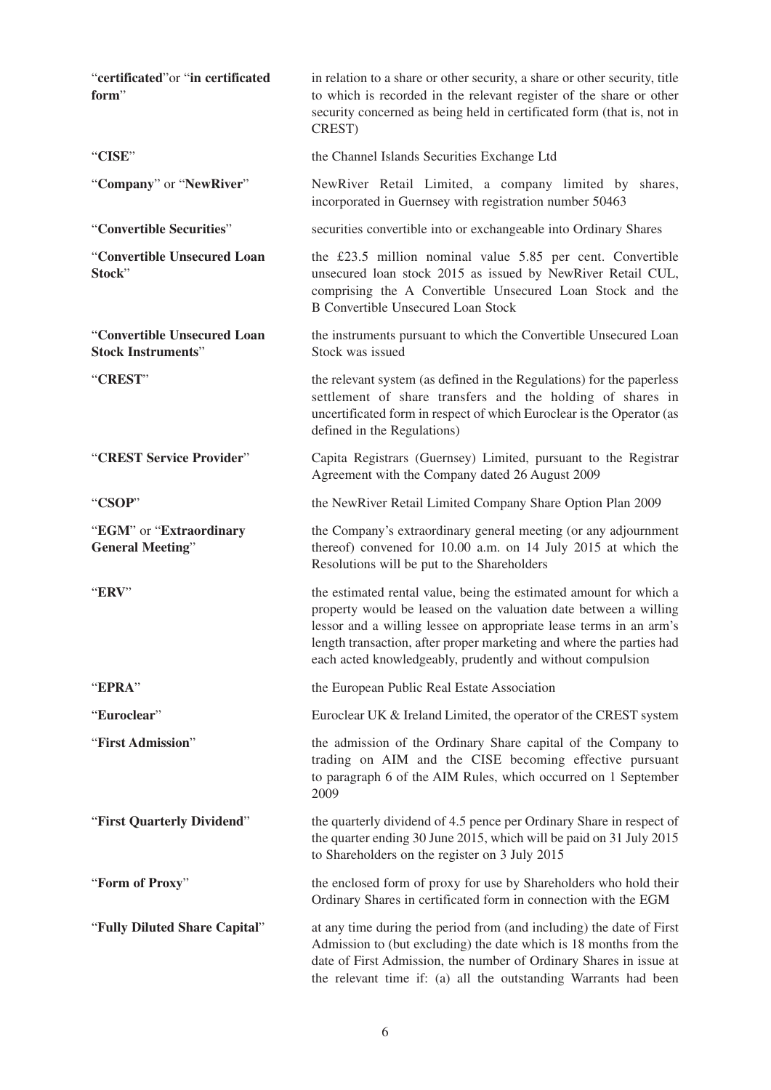| "certificated" or "in certificated<br>form"              | in relation to a share or other security, a share or other security, title<br>to which is recorded in the relevant register of the share or other<br>security concerned as being held in certificated form (that is, not in<br>CREST)                                                                                                              |
|----------------------------------------------------------|----------------------------------------------------------------------------------------------------------------------------------------------------------------------------------------------------------------------------------------------------------------------------------------------------------------------------------------------------|
| "CISE"                                                   | the Channel Islands Securities Exchange Ltd                                                                                                                                                                                                                                                                                                        |
| "Company" or "NewRiver"                                  | NewRiver Retail Limited, a company limited by shares,<br>incorporated in Guernsey with registration number 50463                                                                                                                                                                                                                                   |
| "Convertible Securities"                                 | securities convertible into or exchangeable into Ordinary Shares                                                                                                                                                                                                                                                                                   |
| "Convertible Unsecured Loan<br>Stock"                    | the £23.5 million nominal value 5.85 per cent. Convertible<br>unsecured loan stock 2015 as issued by NewRiver Retail CUL,<br>comprising the A Convertible Unsecured Loan Stock and the<br><b>B Convertible Unsecured Loan Stock</b>                                                                                                                |
| "Convertible Unsecured Loan<br><b>Stock Instruments"</b> | the instruments pursuant to which the Convertible Unsecured Loan<br>Stock was issued                                                                                                                                                                                                                                                               |
| "CREST"                                                  | the relevant system (as defined in the Regulations) for the paperless<br>settlement of share transfers and the holding of shares in<br>uncertificated form in respect of which Euroclear is the Operator (as<br>defined in the Regulations)                                                                                                        |
| "CREST Service Provider"                                 | Capita Registrars (Guernsey) Limited, pursuant to the Registrar<br>Agreement with the Company dated 26 August 2009                                                                                                                                                                                                                                 |
| "CSOP"                                                   | the NewRiver Retail Limited Company Share Option Plan 2009                                                                                                                                                                                                                                                                                         |
| "EGM" or "Extraordinary<br><b>General Meeting"</b>       | the Company's extraordinary general meeting (or any adjournment<br>thereof) convened for 10.00 a.m. on 14 July 2015 at which the<br>Resolutions will be put to the Shareholders                                                                                                                                                                    |
| "ERV"                                                    | the estimated rental value, being the estimated amount for which a<br>property would be leased on the valuation date between a willing<br>lessor and a willing lessee on appropriate lease terms in an arm's<br>length transaction, after proper marketing and where the parties had<br>each acted knowledgeably, prudently and without compulsion |
| "EPRA"                                                   | the European Public Real Estate Association                                                                                                                                                                                                                                                                                                        |
| "Euroclear"                                              | Euroclear UK & Ireland Limited, the operator of the CREST system                                                                                                                                                                                                                                                                                   |
| "First Admission"                                        | the admission of the Ordinary Share capital of the Company to<br>trading on AIM and the CISE becoming effective pursuant<br>to paragraph 6 of the AIM Rules, which occurred on 1 September<br>2009                                                                                                                                                 |
| "First Quarterly Dividend"                               | the quarterly dividend of 4.5 pence per Ordinary Share in respect of<br>the quarter ending 30 June 2015, which will be paid on 31 July 2015<br>to Shareholders on the register on 3 July 2015                                                                                                                                                      |
| "Form of Proxy"                                          | the enclosed form of proxy for use by Shareholders who hold their<br>Ordinary Shares in certificated form in connection with the EGM                                                                                                                                                                                                               |
| "Fully Diluted Share Capital"                            | at any time during the period from (and including) the date of First<br>Admission to (but excluding) the date which is 18 months from the<br>date of First Admission, the number of Ordinary Shares in issue at<br>the relevant time if: (a) all the outstanding Warrants had been                                                                 |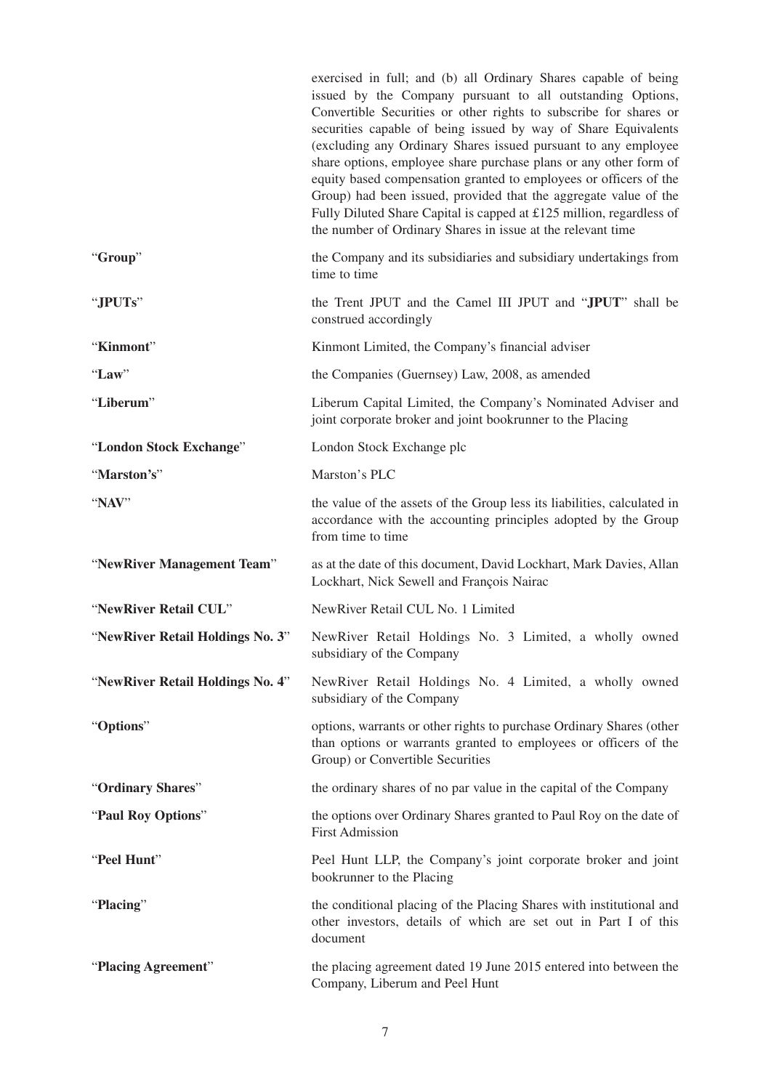|                                  | exercised in full; and (b) all Ordinary Shares capable of being<br>issued by the Company pursuant to all outstanding Options,<br>Convertible Securities or other rights to subscribe for shares or<br>securities capable of being issued by way of Share Equivalents<br>(excluding any Ordinary Shares issued pursuant to any employee<br>share options, employee share purchase plans or any other form of<br>equity based compensation granted to employees or officers of the<br>Group) had been issued, provided that the aggregate value of the<br>Fully Diluted Share Capital is capped at £125 million, regardless of<br>the number of Ordinary Shares in issue at the relevant time |
|----------------------------------|---------------------------------------------------------------------------------------------------------------------------------------------------------------------------------------------------------------------------------------------------------------------------------------------------------------------------------------------------------------------------------------------------------------------------------------------------------------------------------------------------------------------------------------------------------------------------------------------------------------------------------------------------------------------------------------------|
| "Group"                          | the Company and its subsidiaries and subsidiary undertakings from<br>time to time                                                                                                                                                                                                                                                                                                                                                                                                                                                                                                                                                                                                           |
| "JPUTs"                          | the Trent JPUT and the Camel III JPUT and "JPUT" shall be<br>construed accordingly                                                                                                                                                                                                                                                                                                                                                                                                                                                                                                                                                                                                          |
| "Kinmont"                        | Kinmont Limited, the Company's financial adviser                                                                                                                                                                                                                                                                                                                                                                                                                                                                                                                                                                                                                                            |
| "Law"                            | the Companies (Guernsey) Law, 2008, as amended                                                                                                                                                                                                                                                                                                                                                                                                                                                                                                                                                                                                                                              |
| "Liberum"                        | Liberum Capital Limited, the Company's Nominated Adviser and<br>joint corporate broker and joint bookrunner to the Placing                                                                                                                                                                                                                                                                                                                                                                                                                                                                                                                                                                  |
| "London Stock Exchange"          | London Stock Exchange plc                                                                                                                                                                                                                                                                                                                                                                                                                                                                                                                                                                                                                                                                   |
| "Marston's"                      | Marston's PLC                                                                                                                                                                                                                                                                                                                                                                                                                                                                                                                                                                                                                                                                               |
| "NAV"                            | the value of the assets of the Group less its liabilities, calculated in<br>accordance with the accounting principles adopted by the Group<br>from time to time                                                                                                                                                                                                                                                                                                                                                                                                                                                                                                                             |
| "NewRiver Management Team"       | as at the date of this document, David Lockhart, Mark Davies, Allan<br>Lockhart, Nick Sewell and François Nairac                                                                                                                                                                                                                                                                                                                                                                                                                                                                                                                                                                            |
| "NewRiver Retail CUL"            | NewRiver Retail CUL No. 1 Limited                                                                                                                                                                                                                                                                                                                                                                                                                                                                                                                                                                                                                                                           |
| "NewRiver Retail Holdings No. 3" | NewRiver Retail Holdings No. 3 Limited, a wholly owned<br>subsidiary of the Company                                                                                                                                                                                                                                                                                                                                                                                                                                                                                                                                                                                                         |
| "NewRiver Retail Holdings No. 4" | NewRiver Retail Holdings No. 4 Limited, a wholly owned<br>subsidiary of the Company                                                                                                                                                                                                                                                                                                                                                                                                                                                                                                                                                                                                         |
| "Options"                        | options, warrants or other rights to purchase Ordinary Shares (other<br>than options or warrants granted to employees or officers of the<br>Group) or Convertible Securities                                                                                                                                                                                                                                                                                                                                                                                                                                                                                                                |
| "Ordinary Shares"                | the ordinary shares of no par value in the capital of the Company                                                                                                                                                                                                                                                                                                                                                                                                                                                                                                                                                                                                                           |
| "Paul Roy Options"               | the options over Ordinary Shares granted to Paul Roy on the date of<br><b>First Admission</b>                                                                                                                                                                                                                                                                                                                                                                                                                                                                                                                                                                                               |
| "Peel Hunt"                      | Peel Hunt LLP, the Company's joint corporate broker and joint<br>bookrunner to the Placing                                                                                                                                                                                                                                                                                                                                                                                                                                                                                                                                                                                                  |
| "Placing"                        | the conditional placing of the Placing Shares with institutional and<br>other investors, details of which are set out in Part I of this<br>document                                                                                                                                                                                                                                                                                                                                                                                                                                                                                                                                         |
| "Placing Agreement"              | the placing agreement dated 19 June 2015 entered into between the<br>Company, Liberum and Peel Hunt                                                                                                                                                                                                                                                                                                                                                                                                                                                                                                                                                                                         |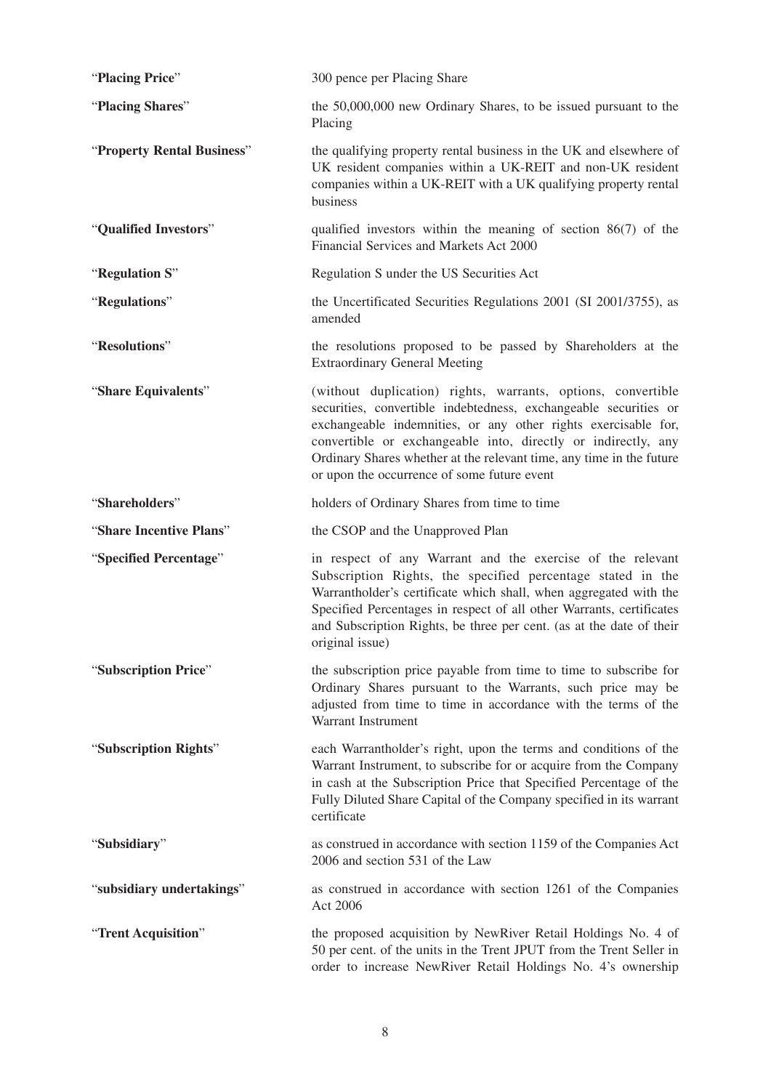| "Placing Price"            | 300 pence per Placing Share                                                                                                                                                                                                                                                                                                                                                                |
|----------------------------|--------------------------------------------------------------------------------------------------------------------------------------------------------------------------------------------------------------------------------------------------------------------------------------------------------------------------------------------------------------------------------------------|
| "Placing Shares"           | the 50,000,000 new Ordinary Shares, to be issued pursuant to the<br>Placing                                                                                                                                                                                                                                                                                                                |
| "Property Rental Business" | the qualifying property rental business in the UK and elsewhere of<br>UK resident companies within a UK-REIT and non-UK resident<br>companies within a UK-REIT with a UK qualifying property rental<br>business                                                                                                                                                                            |
| "Qualified Investors"      | qualified investors within the meaning of section $86(7)$ of the<br>Financial Services and Markets Act 2000                                                                                                                                                                                                                                                                                |
| "Regulation S"             | Regulation S under the US Securities Act                                                                                                                                                                                                                                                                                                                                                   |
| "Regulations"              | the Uncertificated Securities Regulations 2001 (SI 2001/3755), as<br>amended                                                                                                                                                                                                                                                                                                               |
| "Resolutions"              | the resolutions proposed to be passed by Shareholders at the<br><b>Extraordinary General Meeting</b>                                                                                                                                                                                                                                                                                       |
| "Share Equivalents"        | (without duplication) rights, warrants, options, convertible<br>securities, convertible indebtedness, exchangeable securities or<br>exchangeable indemnities, or any other rights exercisable for,<br>convertible or exchangeable into, directly or indirectly, any<br>Ordinary Shares whether at the relevant time, any time in the future<br>or upon the occurrence of some future event |
| "Shareholders"             | holders of Ordinary Shares from time to time                                                                                                                                                                                                                                                                                                                                               |
| "Share Incentive Plans"    | the CSOP and the Unapproved Plan                                                                                                                                                                                                                                                                                                                                                           |
| "Specified Percentage"     | in respect of any Warrant and the exercise of the relevant<br>Subscription Rights, the specified percentage stated in the<br>Warrantholder's certificate which shall, when aggregated with the<br>Specified Percentages in respect of all other Warrants, certificates<br>and Subscription Rights, be three per cent. (as at the date of their<br>original issue)                          |
| "Subscription Price"       | the subscription price payable from time to time to subscribe for<br>Ordinary Shares pursuant to the Warrants, such price may be<br>adjusted from time to time in accordance with the terms of the<br>Warrant Instrument                                                                                                                                                                   |
| "Subscription Rights"      | each Warrantholder's right, upon the terms and conditions of the<br>Warrant Instrument, to subscribe for or acquire from the Company<br>in cash at the Subscription Price that Specified Percentage of the<br>Fully Diluted Share Capital of the Company specified in its warrant<br>certificate                                                                                           |
| "Subsidiary"               | as construed in accordance with section 1159 of the Companies Act<br>2006 and section 531 of the Law                                                                                                                                                                                                                                                                                       |
| "subsidiary undertakings"  | as construed in accordance with section 1261 of the Companies<br>Act 2006                                                                                                                                                                                                                                                                                                                  |
| "Trent Acquisition"        | the proposed acquisition by NewRiver Retail Holdings No. 4 of<br>50 per cent. of the units in the Trent JPUT from the Trent Seller in<br>order to increase NewRiver Retail Holdings No. 4's ownership                                                                                                                                                                                      |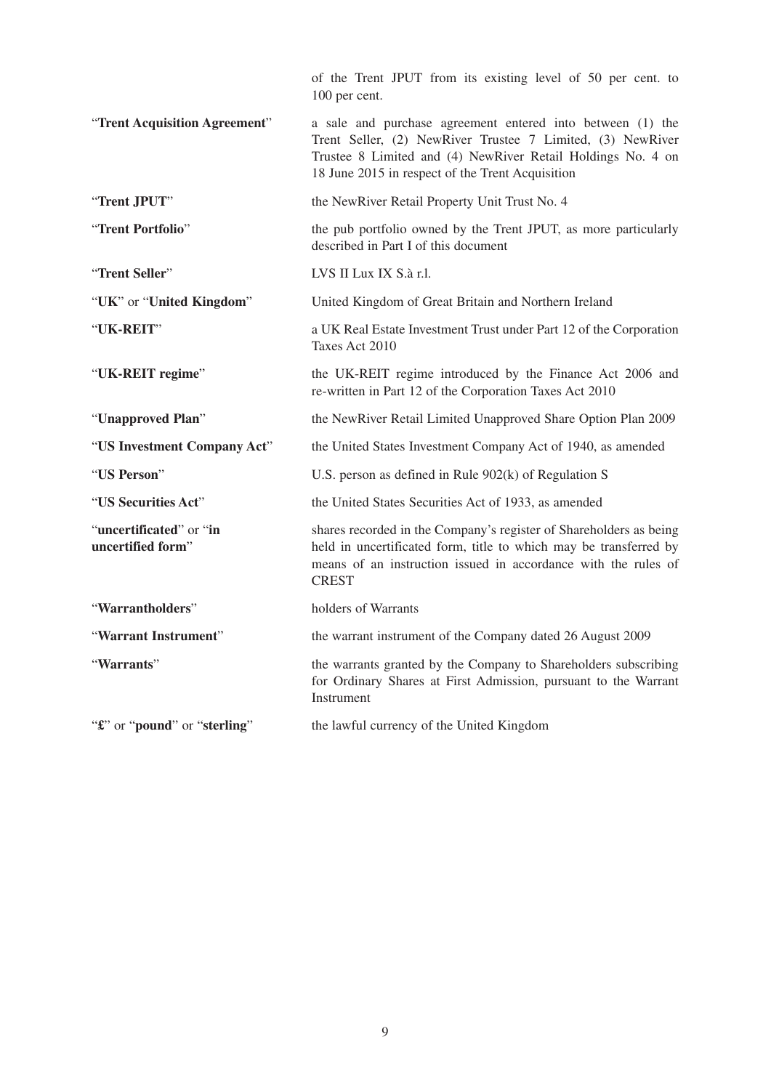|                                              | of the Trent JPUT from its existing level of 50 per cent. to<br>100 per cent.                                                                                                                                                               |
|----------------------------------------------|---------------------------------------------------------------------------------------------------------------------------------------------------------------------------------------------------------------------------------------------|
| "Trent Acquisition Agreement"                | a sale and purchase agreement entered into between (1) the<br>Trent Seller, (2) NewRiver Trustee 7 Limited, (3) NewRiver<br>Trustee 8 Limited and (4) NewRiver Retail Holdings No. 4 on<br>18 June 2015 in respect of the Trent Acquisition |
| "Trent JPUT"                                 | the NewRiver Retail Property Unit Trust No. 4                                                                                                                                                                                               |
| "Trent Portfolio"                            | the pub portfolio owned by the Trent JPUT, as more particularly<br>described in Part I of this document                                                                                                                                     |
| "Trent Seller"                               | LVS II Lux IX S.à r.l.                                                                                                                                                                                                                      |
| "UK" or "United Kingdom"                     | United Kingdom of Great Britain and Northern Ireland                                                                                                                                                                                        |
| "UK-REIT"                                    | a UK Real Estate Investment Trust under Part 12 of the Corporation<br>Taxes Act 2010                                                                                                                                                        |
| "UK-REIT regime"                             | the UK-REIT regime introduced by the Finance Act 2006 and<br>re-written in Part 12 of the Corporation Taxes Act 2010                                                                                                                        |
| "Unapproved Plan"                            | the NewRiver Retail Limited Unapproved Share Option Plan 2009                                                                                                                                                                               |
| "US Investment Company Act"                  | the United States Investment Company Act of 1940, as amended                                                                                                                                                                                |
| "US Person"                                  | U.S. person as defined in Rule $902(k)$ of Regulation S                                                                                                                                                                                     |
| "US Securities Act"                          | the United States Securities Act of 1933, as amended                                                                                                                                                                                        |
| "uncertificated" or "in<br>uncertified form" | shares recorded in the Company's register of Shareholders as being<br>held in uncertificated form, title to which may be transferred by<br>means of an instruction issued in accordance with the rules of<br><b>CREST</b>                   |
| "Warrantholders"                             | holders of Warrants                                                                                                                                                                                                                         |
| "Warrant Instrument"                         | the warrant instrument of the Company dated 26 August 2009                                                                                                                                                                                  |
| "Warrants"                                   | the warrants granted by the Company to Shareholders subscribing<br>for Ordinary Shares at First Admission, pursuant to the Warrant<br>Instrument                                                                                            |
| " <i>f"</i> or "pound" or "sterling"         | the lawful currency of the United Kingdom                                                                                                                                                                                                   |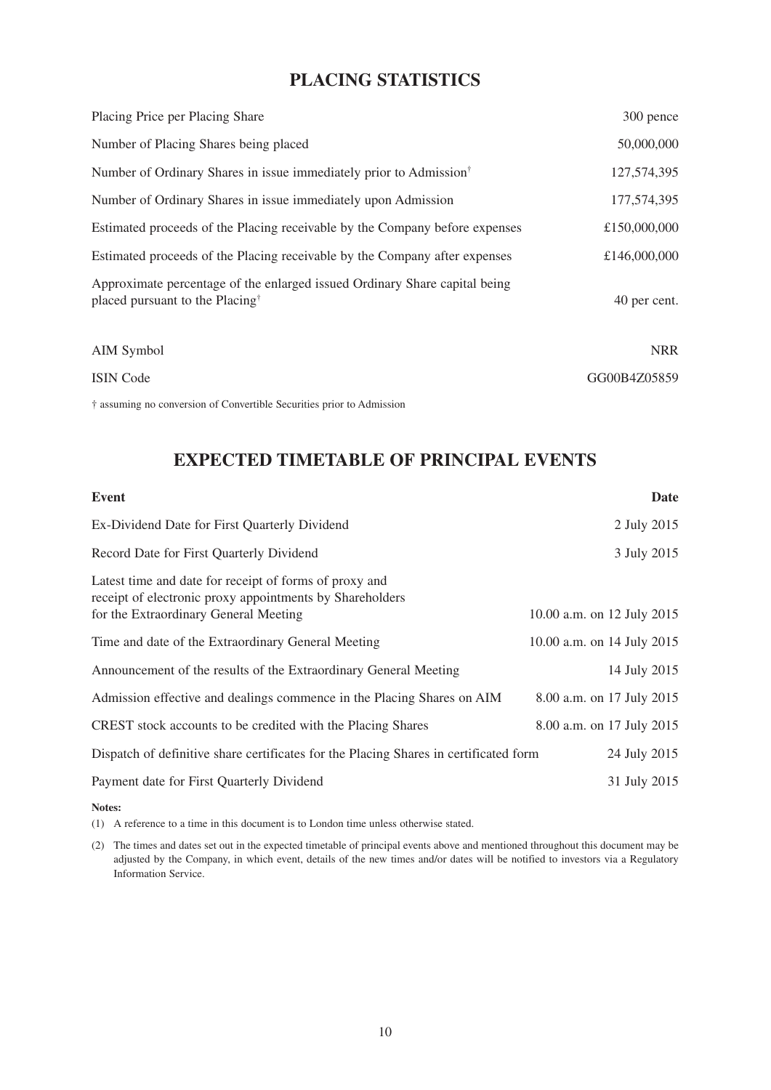# **PLACING STATISTICS**

| Placing Price per Placing Share                                                                                           | 300 pence    |
|---------------------------------------------------------------------------------------------------------------------------|--------------|
| Number of Placing Shares being placed                                                                                     | 50,000,000   |
| Number of Ordinary Shares in issue immediately prior to Admission <sup>†</sup>                                            | 127,574,395  |
| Number of Ordinary Shares in issue immediately upon Admission                                                             | 177,574,395  |
| Estimated proceeds of the Placing receivable by the Company before expenses                                               | £150,000,000 |
| Estimated proceeds of the Placing receivable by the Company after expenses                                                | £146,000,000 |
| Approximate percentage of the enlarged issued Ordinary Share capital being<br>placed pursuant to the Placing <sup>†</sup> | 40 per cent. |
| AIM Symbol                                                                                                                | <b>NRR</b>   |
| <b>ISIN Code</b>                                                                                                          | GG00B4Z05859 |
| † assuming no conversion of Convertible Securities prior to Admission                                                     |              |

## **EXPECTED TIMETABLE OF PRINCIPAL EVENTS**

| Event                                                                                                                                                       | Date                       |
|-------------------------------------------------------------------------------------------------------------------------------------------------------------|----------------------------|
| Ex-Dividend Date for First Quarterly Dividend                                                                                                               | 2 July 2015                |
| Record Date for First Quarterly Dividend                                                                                                                    | 3 July 2015                |
| Latest time and date for receipt of forms of proxy and<br>receipt of electronic proxy appointments by Shareholders<br>for the Extraordinary General Meeting | 10.00 a.m. on 12 July 2015 |
| Time and date of the Extraordinary General Meeting                                                                                                          | 10.00 a.m. on 14 July 2015 |
| Announcement of the results of the Extraordinary General Meeting                                                                                            | 14 July 2015               |
| Admission effective and dealings commence in the Placing Shares on AIM                                                                                      | 8.00 a.m. on 17 July 2015  |
| CREST stock accounts to be credited with the Placing Shares                                                                                                 | 8.00 a.m. on 17 July 2015  |
| Dispatch of definitive share certificates for the Placing Shares in certificated form                                                                       | 24 July 2015               |
| Payment date for First Quarterly Dividend                                                                                                                   | 31 July 2015               |
|                                                                                                                                                             |                            |

**Notes:**

(1) A reference to a time in this document is to London time unless otherwise stated.

(2) The times and dates set out in the expected timetable of principal events above and mentioned throughout this document may be adjusted by the Company, in which event, details of the new times and/or dates will be notified to investors via a Regulatory Information Service.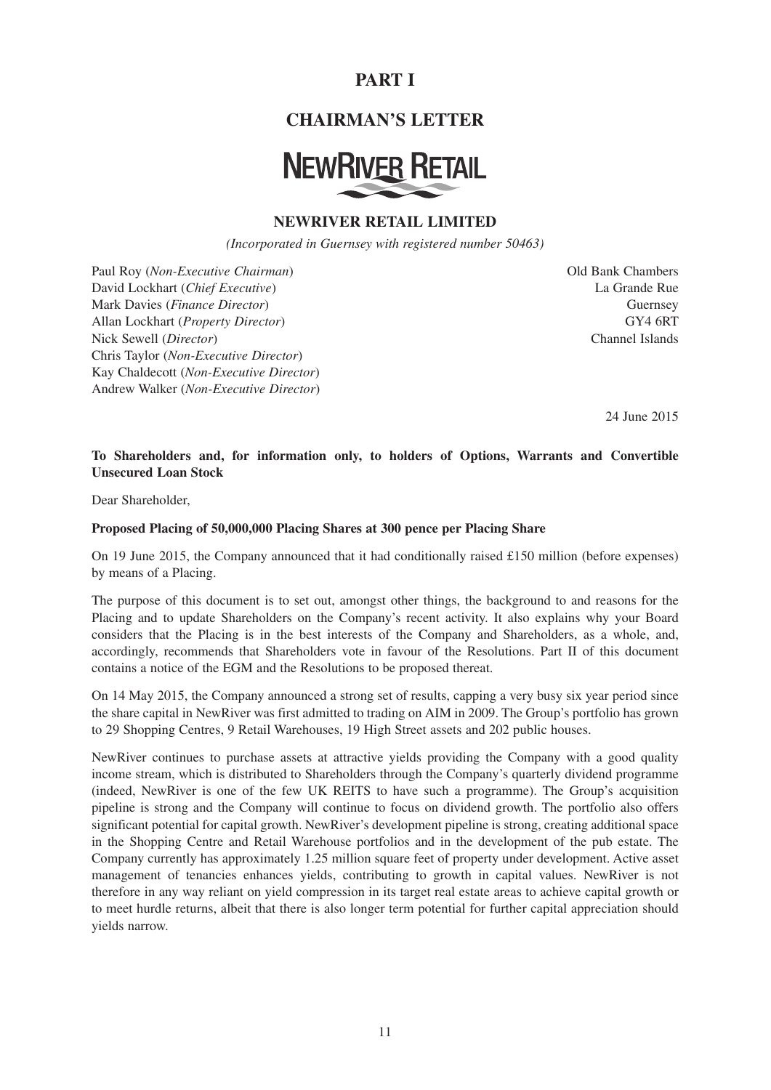# **PART I**

## **CHAIRMAN'S LETTER**

# **NEWRIVER RETAIL**

## **NEWRIVER RETAIL LIMITED**

*(Incorporated in Guernsey with registered number 50463)*

Paul Roy (*Non-Executive Chairman*) Old Bank Chambers David Lockhart (*Chief Executive*) La Grande Rue Mark Davies (*Finance Director*) Guernsey Allan Lockhart (*Property Director*) GY4 6RT Nick Sewell (*Director*) Channel Islands Chris Taylor (*Non-Executive Director*) Kay Chaldecott (*Non-Executive Director*) Andrew Walker (*Non-Executive Director*)

24 June 2015

## **To Shareholders and, for information only, to holders of Options, Warrants and Convertible Unsecured Loan Stock**

Dear Shareholder,

#### **Proposed Placing of 50,000,000 Placing Shares at 300 pence per Placing Share**

On 19 June 2015, the Company announced that it had conditionally raised £150 million (before expenses) by means of a Placing.

The purpose of this document is to set out, amongst other things, the background to and reasons for the Placing and to update Shareholders on the Company's recent activity. It also explains why your Board considers that the Placing is in the best interests of the Company and Shareholders, as a whole, and, accordingly, recommends that Shareholders vote in favour of the Resolutions. Part II of this document contains a notice of the EGM and the Resolutions to be proposed thereat.

On 14 May 2015, the Company announced a strong set of results, capping a very busy six year period since the share capital in NewRiver was first admitted to trading on AIM in 2009. The Group's portfolio has grown to 29 Shopping Centres, 9 Retail Warehouses, 19 High Street assets and 202 public houses.

NewRiver continues to purchase assets at attractive yields providing the Company with a good quality income stream, which is distributed to Shareholders through the Company's quarterly dividend programme (indeed, NewRiver is one of the few UK REITS to have such a programme). The Group's acquisition pipeline is strong and the Company will continue to focus on dividend growth. The portfolio also offers significant potential for capital growth. NewRiver's development pipeline is strong, creating additional space in the Shopping Centre and Retail Warehouse portfolios and in the development of the pub estate. The Company currently has approximately 1.25 million square feet of property under development. Active asset management of tenancies enhances yields, contributing to growth in capital values. NewRiver is not therefore in any way reliant on yield compression in its target real estate areas to achieve capital growth or to meet hurdle returns, albeit that there is also longer term potential for further capital appreciation should yields narrow.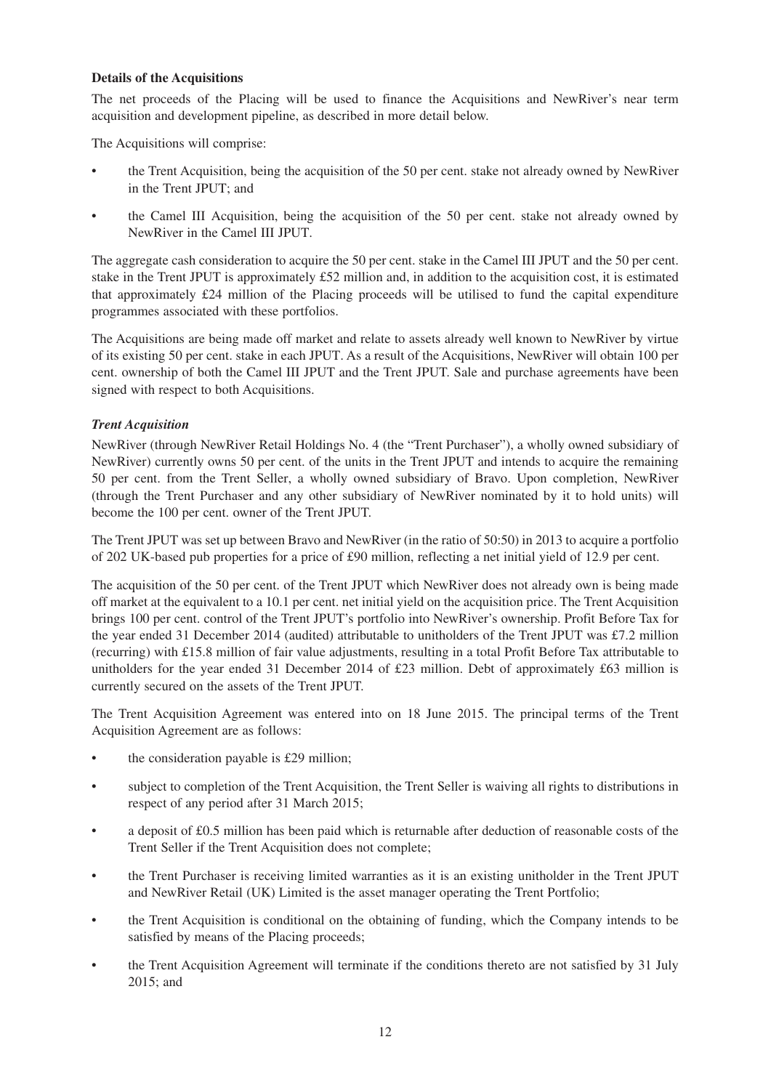#### **Details of the Acquisitions**

The net proceeds of the Placing will be used to finance the Acquisitions and NewRiver's near term acquisition and development pipeline, as described in more detail below.

The Acquisitions will comprise:

- the Trent Acquisition, being the acquisition of the 50 per cent. stake not already owned by NewRiver in the Trent JPUT; and
- the Camel III Acquisition, being the acquisition of the 50 per cent. stake not already owned by NewRiver in the Camel III JPUT.

The aggregate cash consideration to acquire the 50 per cent. stake in the Camel III JPUT and the 50 per cent. stake in the Trent JPUT is approximately £52 million and, in addition to the acquisition cost, it is estimated that approximately £24 million of the Placing proceeds will be utilised to fund the capital expenditure programmes associated with these portfolios.

The Acquisitions are being made off market and relate to assets already well known to NewRiver by virtue of its existing 50 per cent. stake in each JPUT. As a result of the Acquisitions, NewRiver will obtain 100 per cent. ownership of both the Camel III JPUT and the Trent JPUT. Sale and purchase agreements have been signed with respect to both Acquisitions.

#### *Trent Acquisition*

NewRiver (through NewRiver Retail Holdings No. 4 (the "Trent Purchaser"), a wholly owned subsidiary of NewRiver) currently owns 50 per cent. of the units in the Trent JPUT and intends to acquire the remaining 50 per cent. from the Trent Seller, a wholly owned subsidiary of Bravo. Upon completion, NewRiver (through the Trent Purchaser and any other subsidiary of NewRiver nominated by it to hold units) will become the 100 per cent. owner of the Trent JPUT.

The Trent JPUT was set up between Bravo and NewRiver (in the ratio of 50:50) in 2013 to acquire a portfolio of 202 UK-based pub properties for a price of £90 million, reflecting a net initial yield of 12.9 per cent.

The acquisition of the 50 per cent. of the Trent JPUT which NewRiver does not already own is being made off market at the equivalent to a 10.1 per cent. net initial yield on the acquisition price. The Trent Acquisition brings 100 per cent. control of the Trent JPUT's portfolio into NewRiver's ownership. Profit Before Tax for the year ended 31 December 2014 (audited) attributable to unitholders of the Trent JPUT was £7.2 million (recurring) with £15.8 million of fair value adjustments, resulting in a total Profit Before Tax attributable to unitholders for the year ended 31 December 2014 of £23 million. Debt of approximately £63 million is currently secured on the assets of the Trent JPUT.

The Trent Acquisition Agreement was entered into on 18 June 2015. The principal terms of the Trent Acquisition Agreement are as follows:

- the consideration payable is £29 million;
- subject to completion of the Trent Acquisition, the Trent Seller is waiving all rights to distributions in respect of any period after 31 March 2015;
- a deposit of £0.5 million has been paid which is returnable after deduction of reasonable costs of the Trent Seller if the Trent Acquisition does not complete;
- the Trent Purchaser is receiving limited warranties as it is an existing unitholder in the Trent JPUT and NewRiver Retail (UK) Limited is the asset manager operating the Trent Portfolio;
- the Trent Acquisition is conditional on the obtaining of funding, which the Company intends to be satisfied by means of the Placing proceeds;
- the Trent Acquisition Agreement will terminate if the conditions thereto are not satisfied by 31 July 2015; and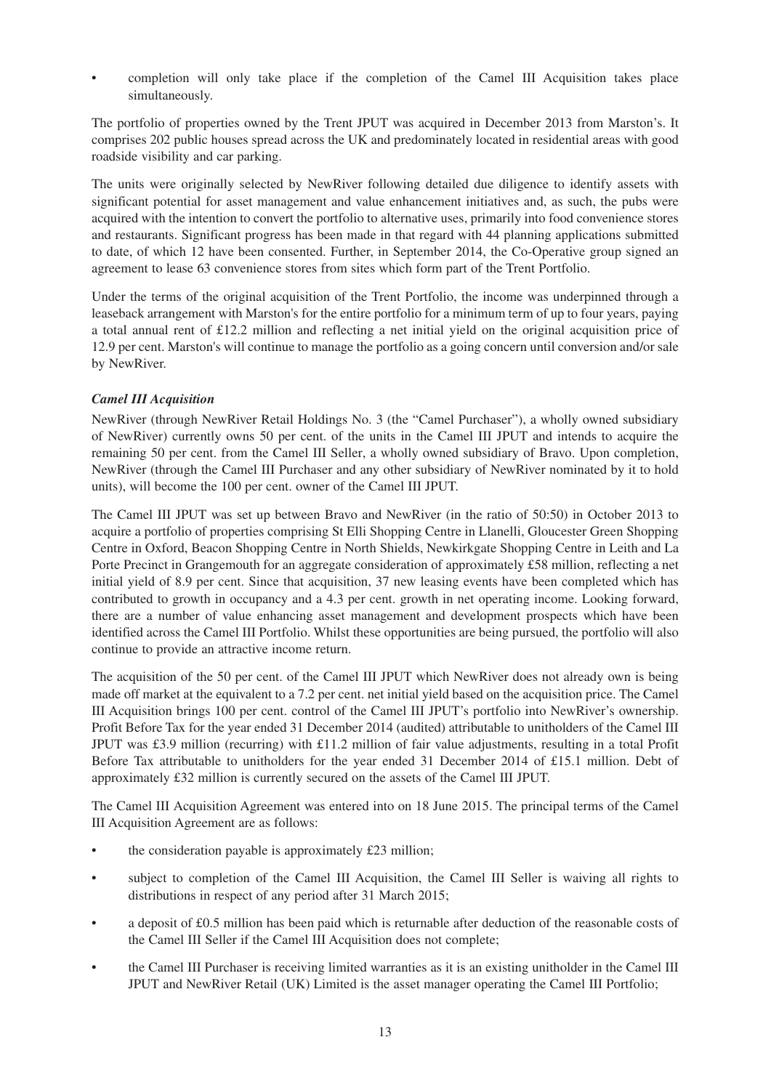• completion will only take place if the completion of the Camel III Acquisition takes place simultaneously.

The portfolio of properties owned by the Trent JPUT was acquired in December 2013 from Marston's. It comprises 202 public houses spread across the UK and predominately located in residential areas with good roadside visibility and car parking.

The units were originally selected by NewRiver following detailed due diligence to identify assets with significant potential for asset management and value enhancement initiatives and, as such, the pubs were acquired with the intention to convert the portfolio to alternative uses, primarily into food convenience stores and restaurants. Significant progress has been made in that regard with 44 planning applications submitted to date, of which 12 have been consented. Further, in September 2014, the Co-Operative group signed an agreement to lease 63 convenience stores from sites which form part of the Trent Portfolio.

Under the terms of the original acquisition of the Trent Portfolio, the income was underpinned through a leaseback arrangement with Marston's for the entire portfolio for a minimum term of up to four years, paying a total annual rent of £12.2 million and reflecting a net initial yield on the original acquisition price of 12.9 per cent. Marston's will continue to manage the portfolio as a going concern until conversion and/or sale by NewRiver.

## *Camel III Acquisition*

NewRiver (through NewRiver Retail Holdings No. 3 (the "Camel Purchaser"), a wholly owned subsidiary of NewRiver) currently owns 50 per cent. of the units in the Camel III JPUT and intends to acquire the remaining 50 per cent. from the Camel III Seller, a wholly owned subsidiary of Bravo. Upon completion, NewRiver (through the Camel III Purchaser and any other subsidiary of NewRiver nominated by it to hold units), will become the 100 per cent. owner of the Camel III JPUT.

The Camel III JPUT was set up between Bravo and NewRiver (in the ratio of 50:50) in October 2013 to acquire a portfolio of properties comprising St Elli Shopping Centre in Llanelli, Gloucester Green Shopping Centre in Oxford, Beacon Shopping Centre in North Shields, Newkirkgate Shopping Centre in Leith and La Porte Precinct in Grangemouth for an aggregate consideration of approximately £58 million, reflecting a net initial yield of 8.9 per cent. Since that acquisition, 37 new leasing events have been completed which has contributed to growth in occupancy and a 4.3 per cent. growth in net operating income. Looking forward, there are a number of value enhancing asset management and development prospects which have been identified across the Camel III Portfolio. Whilst these opportunities are being pursued, the portfolio will also continue to provide an attractive income return.

The acquisition of the 50 per cent. of the Camel III JPUT which NewRiver does not already own is being made off market at the equivalent to a 7.2 per cent. net initial yield based on the acquisition price. The Camel III Acquisition brings 100 per cent. control of the Camel III JPUT's portfolio into NewRiver's ownership. Profit Before Tax for the year ended 31 December 2014 (audited) attributable to unitholders of the Camel III JPUT was £3.9 million (recurring) with £11.2 million of fair value adjustments, resulting in a total Profit Before Tax attributable to unitholders for the year ended 31 December 2014 of £15.1 million. Debt of approximately £32 million is currently secured on the assets of the Camel III JPUT.

The Camel III Acquisition Agreement was entered into on 18 June 2015. The principal terms of the Camel III Acquisition Agreement are as follows:

- the consideration payable is approximately  $£23$  million;
- subject to completion of the Camel III Acquisition, the Camel III Seller is waiving all rights to distributions in respect of any period after 31 March 2015;
- a deposit of £0.5 million has been paid which is returnable after deduction of the reasonable costs of the Camel III Seller if the Camel III Acquisition does not complete;
- the Camel III Purchaser is receiving limited warranties as it is an existing unitholder in the Camel III JPUT and NewRiver Retail (UK) Limited is the asset manager operating the Camel III Portfolio;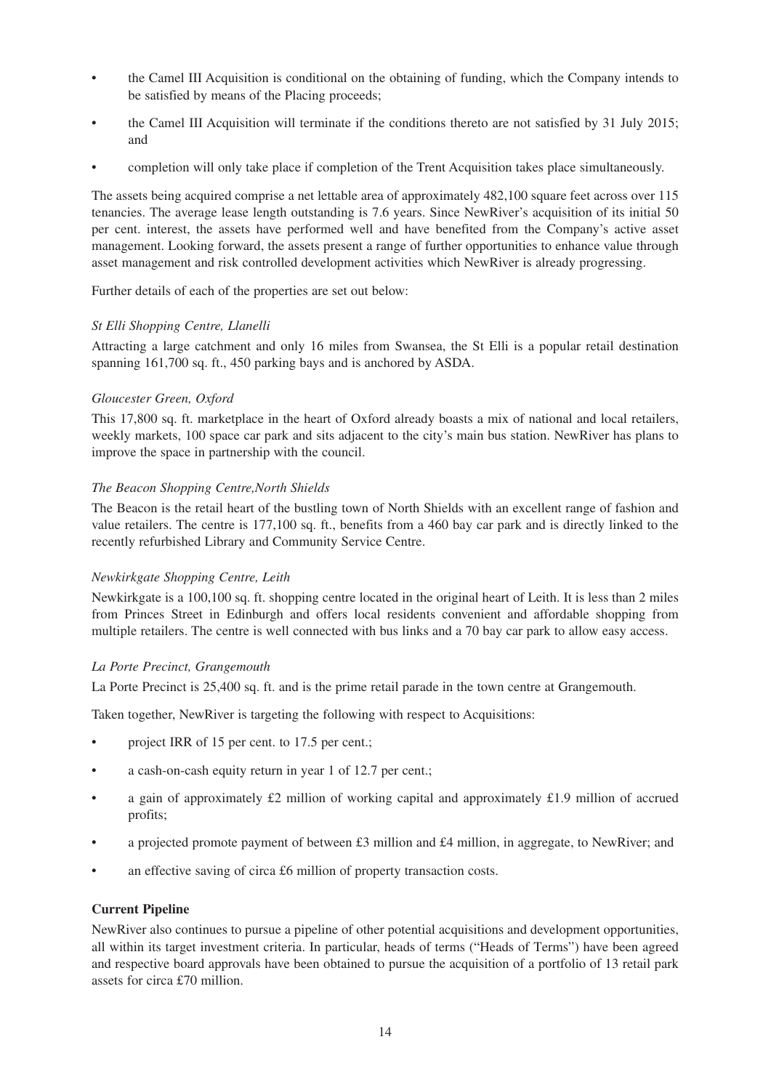- the Camel III Acquisition is conditional on the obtaining of funding, which the Company intends to be satisfied by means of the Placing proceeds;
- the Camel III Acquisition will terminate if the conditions thereto are not satisfied by 31 July 2015; and
- completion will only take place if completion of the Trent Acquisition takes place simultaneously.

The assets being acquired comprise a net lettable area of approximately 482,100 square feet across over 115 tenancies. The average lease length outstanding is 7.6 years. Since NewRiver's acquisition of its initial 50 per cent. interest, the assets have performed well and have benefited from the Company's active asset management. Looking forward, the assets present a range of further opportunities to enhance value through asset management and risk controlled development activities which NewRiver is already progressing.

Further details of each of the properties are set out below:

#### *St Elli Shopping Centre, Llanelli*

Attracting a large catchment and only 16 miles from Swansea, the St Elli is a popular retail destination spanning 161,700 sq. ft., 450 parking bays and is anchored by ASDA.

#### *Gloucester Green, Oxford*

This 17,800 sq. ft. marketplace in the heart of Oxford already boasts a mix of national and local retailers, weekly markets, 100 space car park and sits adjacent to the city's main bus station. NewRiver has plans to improve the space in partnership with the council.

#### *The Beacon Shopping Centre,North Shields*

The Beacon is the retail heart of the bustling town of North Shields with an excellent range of fashion and value retailers. The centre is 177,100 sq. ft., benefits from a 460 bay car park and is directly linked to the recently refurbished Library and Community Service Centre.

#### *Newkirkgate Shopping Centre, Leith*

Newkirkgate is a 100,100 sq. ft. shopping centre located in the original heart of Leith. It is less than 2 miles from Princes Street in Edinburgh and offers local residents convenient and affordable shopping from multiple retailers. The centre is well connected with bus links and a 70 bay car park to allow easy access.

#### *La Porte Precinct, Grangemouth*

La Porte Precinct is 25,400 sq. ft. and is the prime retail parade in the town centre at Grangemouth.

Taken together, NewRiver is targeting the following with respect to Acquisitions:

- project IRR of 15 per cent. to 17.5 per cent.;
- a cash-on-cash equity return in year 1 of 12.7 per cent.;
- a gain of approximately  $\pounds 2$  million of working capital and approximately  $\pounds 1.9$  million of accrued profits;
- a projected promote payment of between £3 million and £4 million, in aggregate, to NewRiver; and
- an effective saving of circa £6 million of property transaction costs.

#### **Current Pipeline**

NewRiver also continues to pursue a pipeline of other potential acquisitions and development opportunities, all within its target investment criteria. In particular, heads of terms ("Heads of Terms") have been agreed and respective board approvals have been obtained to pursue the acquisition of a portfolio of 13 retail park assets for circa £70 million.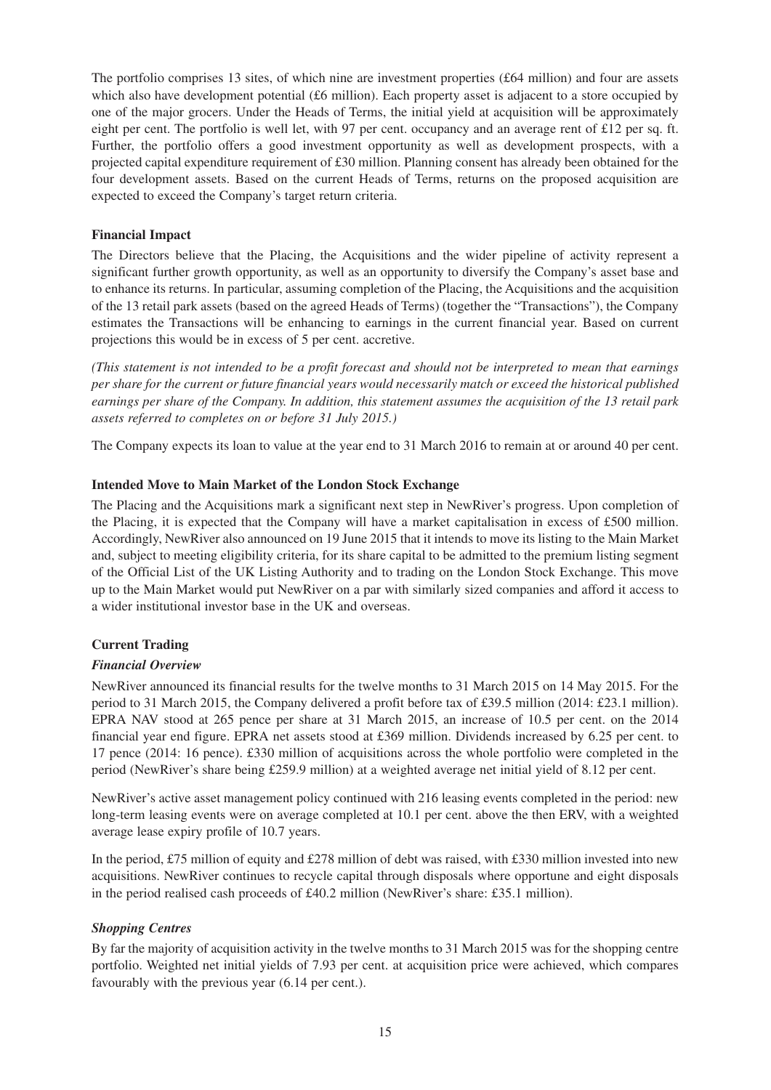The portfolio comprises 13 sites, of which nine are investment properties (£64 million) and four are assets which also have development potential (£6 million). Each property asset is adjacent to a store occupied by one of the major grocers. Under the Heads of Terms, the initial yield at acquisition will be approximately eight per cent. The portfolio is well let, with 97 per cent. occupancy and an average rent of £12 per sq. ft. Further, the portfolio offers a good investment opportunity as well as development prospects, with a projected capital expenditure requirement of £30 million. Planning consent has already been obtained for the four development assets. Based on the current Heads of Terms, returns on the proposed acquisition are expected to exceed the Company's target return criteria.

#### **Financial Impact**

The Directors believe that the Placing, the Acquisitions and the wider pipeline of activity represent a significant further growth opportunity, as well as an opportunity to diversify the Company's asset base and to enhance its returns. In particular, assuming completion of the Placing, the Acquisitions and the acquisition of the 13 retail park assets (based on the agreed Heads of Terms) (together the "Transactions"), the Company estimates the Transactions will be enhancing to earnings in the current financial year. Based on current projections this would be in excess of 5 per cent. accretive.

*(This statement is not intended to be a profit forecast and should not be interpreted to mean that earnings per share for the current or future financial years would necessarily match or exceed the historical published earnings per share of the Company. In addition, this statement assumes the acquisition of the 13 retail park assets referred to completes on or before 31 July 2015.)*

The Company expects its loan to value at the year end to 31 March 2016 to remain at or around 40 per cent.

## **Intended Move to Main Market of the London Stock Exchange**

The Placing and the Acquisitions mark a significant next step in NewRiver's progress. Upon completion of the Placing, it is expected that the Company will have a market capitalisation in excess of £500 million. Accordingly, NewRiver also announced on 19 June 2015 that it intends to move its listing to the Main Market and, subject to meeting eligibility criteria, for its share capital to be admitted to the premium listing segment of the Official List of the UK Listing Authority and to trading on the London Stock Exchange. This move up to the Main Market would put NewRiver on a par with similarly sized companies and afford it access to a wider institutional investor base in the UK and overseas.

## **Current Trading**

#### *Financial Overview*

NewRiver announced its financial results for the twelve months to 31 March 2015 on 14 May 2015. For the period to 31 March 2015, the Company delivered a profit before tax of £39.5 million (2014: £23.1 million). EPRA NAV stood at 265 pence per share at 31 March 2015, an increase of 10.5 per cent. on the 2014 financial year end figure. EPRA net assets stood at £369 million. Dividends increased by 6.25 per cent. to 17 pence (2014: 16 pence). £330 million of acquisitions across the whole portfolio were completed in the period (NewRiver's share being £259.9 million) at a weighted average net initial yield of 8.12 per cent.

NewRiver's active asset management policy continued with 216 leasing events completed in the period: new long-term leasing events were on average completed at 10.1 per cent. above the then ERV, with a weighted average lease expiry profile of 10.7 years.

In the period, £75 million of equity and £278 million of debt was raised, with £330 million invested into new acquisitions. NewRiver continues to recycle capital through disposals where opportune and eight disposals in the period realised cash proceeds of  $£40.2$  million (NewRiver's share: £35.1 million).

## *Shopping Centres*

By far the majority of acquisition activity in the twelve months to 31 March 2015 was for the shopping centre portfolio. Weighted net initial yields of 7.93 per cent. at acquisition price were achieved, which compares favourably with the previous year (6.14 per cent.).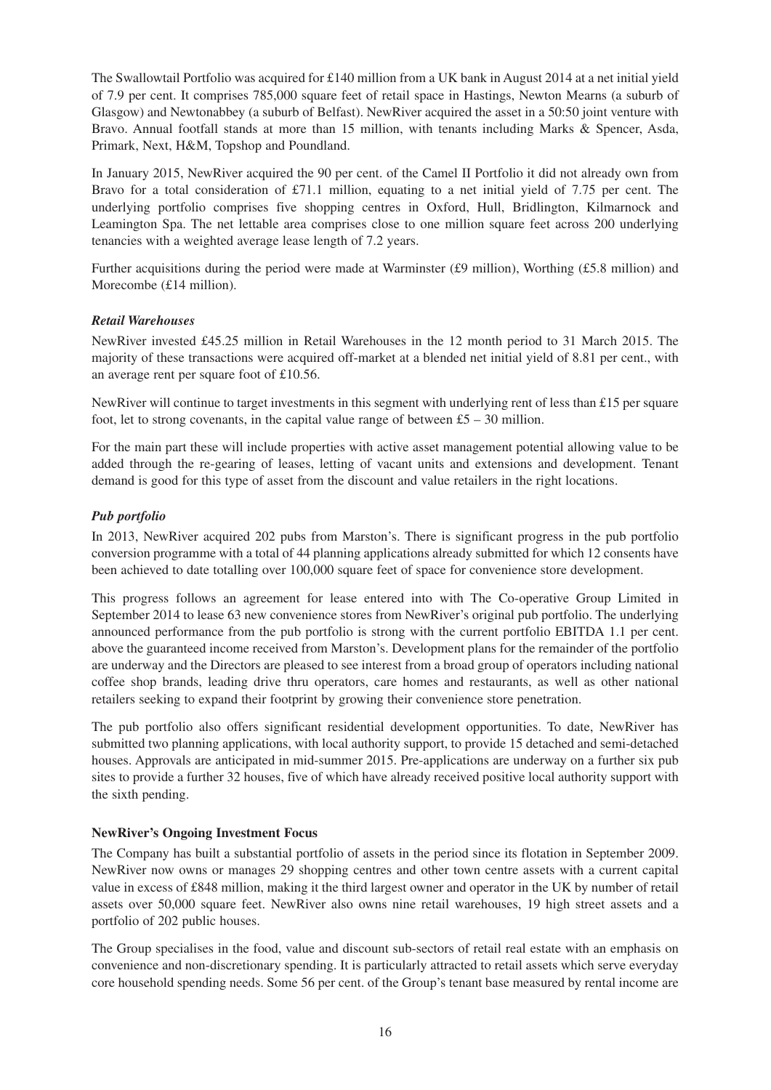The Swallowtail Portfolio was acquired for £140 million from a UK bank in August 2014 at a net initial yield of 7.9 per cent. It comprises 785,000 square feet of retail space in Hastings, Newton Mearns (a suburb of Glasgow) and Newtonabbey (a suburb of Belfast). NewRiver acquired the asset in a 50:50 joint venture with Bravo. Annual footfall stands at more than 15 million, with tenants including Marks & Spencer, Asda, Primark, Next, H&M, Topshop and Poundland.

In January 2015, NewRiver acquired the 90 per cent. of the Camel II Portfolio it did not already own from Bravo for a total consideration of £71.1 million, equating to a net initial yield of 7.75 per cent. The underlying portfolio comprises five shopping centres in Oxford, Hull, Bridlington, Kilmarnock and Leamington Spa. The net lettable area comprises close to one million square feet across 200 underlying tenancies with a weighted average lease length of 7.2 years.

Further acquisitions during the period were made at Warminster (£9 million), Worthing (£5.8 million) and Morecombe (£14 million).

#### *Retail Warehouses*

NewRiver invested £45.25 million in Retail Warehouses in the 12 month period to 31 March 2015. The majority of these transactions were acquired off-market at a blended net initial yield of 8.81 per cent., with an average rent per square foot of £10.56.

NewRiver will continue to target investments in this segment with underlying rent of less than £15 per square foot, let to strong covenants, in the capital value range of between  $£5 - 30$  million.

For the main part these will include properties with active asset management potential allowing value to be added through the re-gearing of leases, letting of vacant units and extensions and development. Tenant demand is good for this type of asset from the discount and value retailers in the right locations.

#### *Pub portfolio*

In 2013, NewRiver acquired 202 pubs from Marston's. There is significant progress in the pub portfolio conversion programme with a total of 44 planning applications already submitted for which 12 consents have been achieved to date totalling over 100,000 square feet of space for convenience store development.

This progress follows an agreement for lease entered into with The Co-operative Group Limited in September 2014 to lease 63 new convenience stores from NewRiver's original pub portfolio. The underlying announced performance from the pub portfolio is strong with the current portfolio EBITDA 1.1 per cent. above the guaranteed income received from Marston's. Development plans for the remainder of the portfolio are underway and the Directors are pleased to see interest from a broad group of operators including national coffee shop brands, leading drive thru operators, care homes and restaurants, as well as other national retailers seeking to expand their footprint by growing their convenience store penetration.

The pub portfolio also offers significant residential development opportunities. To date, NewRiver has submitted two planning applications, with local authority support, to provide 15 detached and semi-detached houses. Approvals are anticipated in mid-summer 2015. Pre-applications are underway on a further six pub sites to provide a further 32 houses, five of which have already received positive local authority support with the sixth pending.

#### **NewRiver's Ongoing Investment Focus**

The Company has built a substantial portfolio of assets in the period since its flotation in September 2009. NewRiver now owns or manages 29 shopping centres and other town centre assets with a current capital value in excess of £848 million, making it the third largest owner and operator in the UK by number of retail assets over 50,000 square feet. NewRiver also owns nine retail warehouses, 19 high street assets and a portfolio of 202 public houses.

The Group specialises in the food, value and discount sub-sectors of retail real estate with an emphasis on convenience and non-discretionary spending. It is particularly attracted to retail assets which serve everyday core household spending needs. Some 56 per cent. of the Group's tenant base measured by rental income are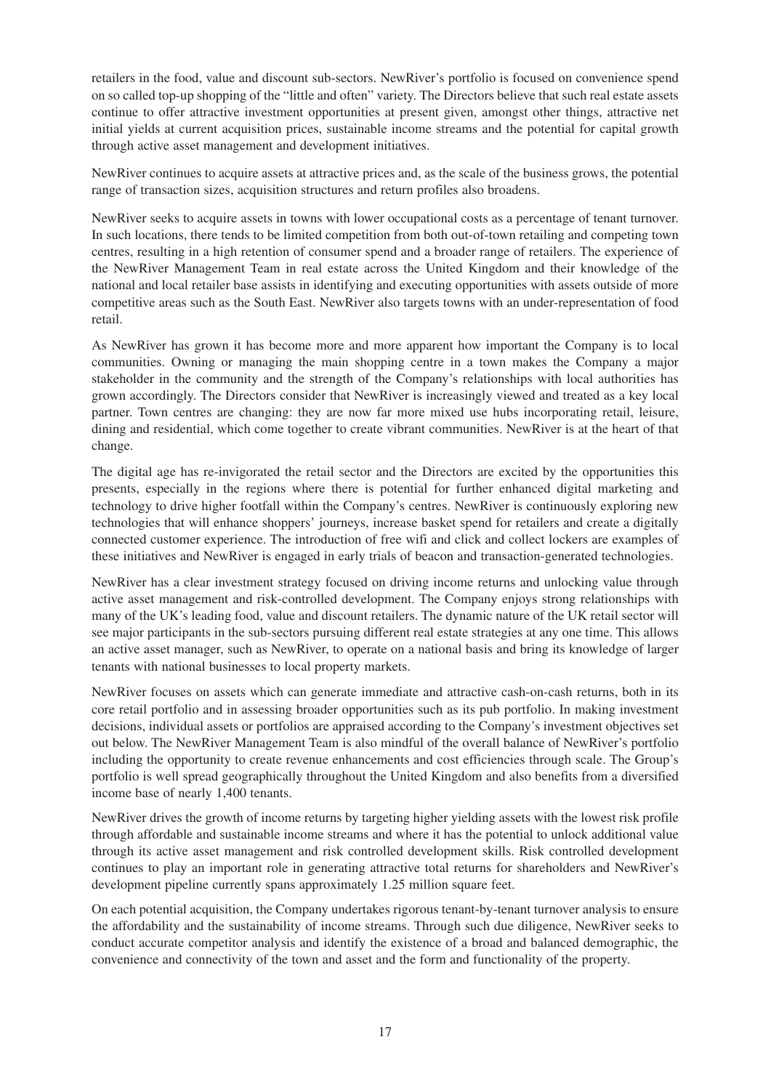retailers in the food, value and discount sub-sectors. NewRiver's portfolio is focused on convenience spend on so called top-up shopping of the "little and often" variety. The Directors believe that such real estate assets continue to offer attractive investment opportunities at present given, amongst other things, attractive net initial yields at current acquisition prices, sustainable income streams and the potential for capital growth through active asset management and development initiatives.

NewRiver continues to acquire assets at attractive prices and, as the scale of the business grows, the potential range of transaction sizes, acquisition structures and return profiles also broadens.

NewRiver seeks to acquire assets in towns with lower occupational costs as a percentage of tenant turnover. In such locations, there tends to be limited competition from both out-of-town retailing and competing town centres, resulting in a high retention of consumer spend and a broader range of retailers. The experience of the NewRiver Management Team in real estate across the United Kingdom and their knowledge of the national and local retailer base assists in identifying and executing opportunities with assets outside of more competitive areas such as the South East. NewRiver also targets towns with an under-representation of food retail.

As NewRiver has grown it has become more and more apparent how important the Company is to local communities. Owning or managing the main shopping centre in a town makes the Company a major stakeholder in the community and the strength of the Company's relationships with local authorities has grown accordingly. The Directors consider that NewRiver is increasingly viewed and treated as a key local partner. Town centres are changing: they are now far more mixed use hubs incorporating retail, leisure, dining and residential, which come together to create vibrant communities. NewRiver is at the heart of that change.

The digital age has re-invigorated the retail sector and the Directors are excited by the opportunities this presents, especially in the regions where there is potential for further enhanced digital marketing and technology to drive higher footfall within the Company's centres. NewRiver is continuously exploring new technologies that will enhance shoppers' journeys, increase basket spend for retailers and create a digitally connected customer experience. The introduction of free wifi and click and collect lockers are examples of these initiatives and NewRiver is engaged in early trials of beacon and transaction-generated technologies.

NewRiver has a clear investment strategy focused on driving income returns and unlocking value through active asset management and risk-controlled development. The Company enjoys strong relationships with many of the UK's leading food, value and discount retailers. The dynamic nature of the UK retail sector will see major participants in the sub-sectors pursuing different real estate strategies at any one time. This allows an active asset manager, such as NewRiver, to operate on a national basis and bring its knowledge of larger tenants with national businesses to local property markets.

NewRiver focuses on assets which can generate immediate and attractive cash-on-cash returns, both in its core retail portfolio and in assessing broader opportunities such as its pub portfolio. In making investment decisions, individual assets or portfolios are appraised according to the Company's investment objectives set out below. The NewRiver Management Team is also mindful of the overall balance of NewRiver's portfolio including the opportunity to create revenue enhancements and cost efficiencies through scale. The Group's portfolio is well spread geographically throughout the United Kingdom and also benefits from a diversified income base of nearly 1,400 tenants.

NewRiver drives the growth of income returns by targeting higher yielding assets with the lowest risk profile through affordable and sustainable income streams and where it has the potential to unlock additional value through its active asset management and risk controlled development skills. Risk controlled development continues to play an important role in generating attractive total returns for shareholders and NewRiver's development pipeline currently spans approximately 1.25 million square feet.

On each potential acquisition, the Company undertakes rigorous tenant-by-tenant turnover analysis to ensure the affordability and the sustainability of income streams. Through such due diligence, NewRiver seeks to conduct accurate competitor analysis and identify the existence of a broad and balanced demographic, the convenience and connectivity of the town and asset and the form and functionality of the property.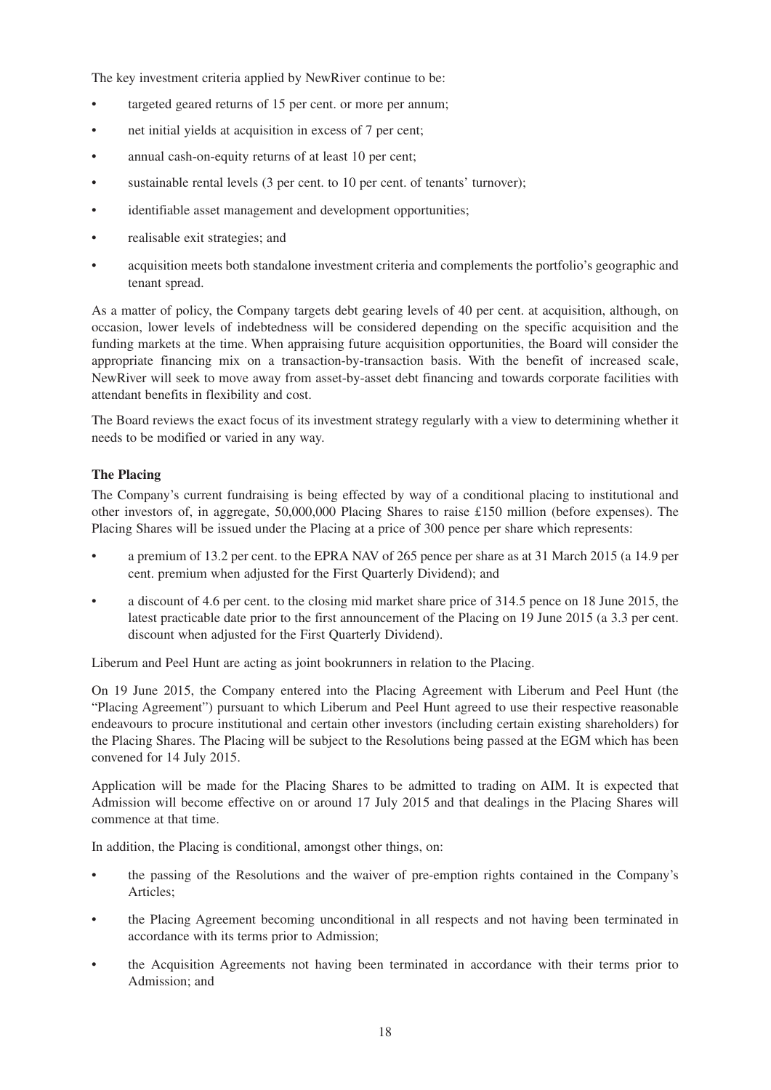The key investment criteria applied by NewRiver continue to be:

- targeted geared returns of 15 per cent. or more per annum;
- net initial yields at acquisition in excess of 7 per cent;
- annual cash-on-equity returns of at least 10 per cent;
- sustainable rental levels (3 per cent. to 10 per cent. of tenants' turnover);
- identifiable asset management and development opportunities;
- realisable exit strategies; and
- acquisition meets both standalone investment criteria and complements the portfolio's geographic and tenant spread.

As a matter of policy, the Company targets debt gearing levels of 40 per cent. at acquisition, although, on occasion, lower levels of indebtedness will be considered depending on the specific acquisition and the funding markets at the time. When appraising future acquisition opportunities, the Board will consider the appropriate financing mix on a transaction-by-transaction basis. With the benefit of increased scale, NewRiver will seek to move away from asset-by-asset debt financing and towards corporate facilities with attendant benefits in flexibility and cost.

The Board reviews the exact focus of its investment strategy regularly with a view to determining whether it needs to be modified or varied in any way.

## **The Placing**

The Company's current fundraising is being effected by way of a conditional placing to institutional and other investors of, in aggregate, 50,000,000 Placing Shares to raise £150 million (before expenses). The Placing Shares will be issued under the Placing at a price of 300 pence per share which represents:

- a premium of 13.2 per cent. to the EPRA NAV of 265 pence per share as at 31 March 2015 (a 14.9 per cent. premium when adjusted for the First Quarterly Dividend); and
- a discount of 4.6 per cent. to the closing mid market share price of 314.5 pence on 18 June 2015, the latest practicable date prior to the first announcement of the Placing on 19 June 2015 (a 3.3 per cent. discount when adjusted for the First Quarterly Dividend).

Liberum and Peel Hunt are acting as joint bookrunners in relation to the Placing.

On 19 June 2015, the Company entered into the Placing Agreement with Liberum and Peel Hunt (the "Placing Agreement") pursuant to which Liberum and Peel Hunt agreed to use their respective reasonable endeavours to procure institutional and certain other investors (including certain existing shareholders) for the Placing Shares. The Placing will be subject to the Resolutions being passed at the EGM which has been convened for 14 July 2015.

Application will be made for the Placing Shares to be admitted to trading on AIM. It is expected that Admission will become effective on or around 17 July 2015 and that dealings in the Placing Shares will commence at that time.

In addition, the Placing is conditional, amongst other things, on:

- the passing of the Resolutions and the waiver of pre-emption rights contained in the Company's Articles;
- the Placing Agreement becoming unconditional in all respects and not having been terminated in accordance with its terms prior to Admission;
- the Acquisition Agreements not having been terminated in accordance with their terms prior to Admission; and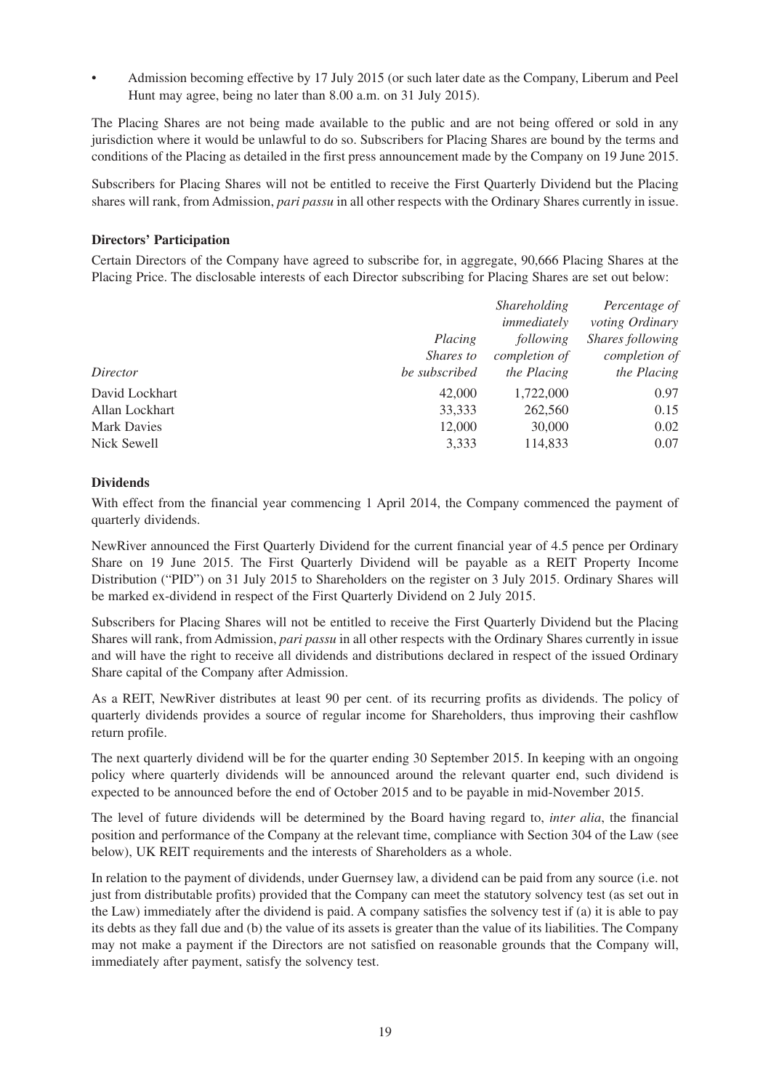• Admission becoming effective by 17 July 2015 (or such later date as the Company, Liberum and Peel Hunt may agree, being no later than 8.00 a.m. on 31 July 2015).

The Placing Shares are not being made available to the public and are not being offered or sold in any jurisdiction where it would be unlawful to do so. Subscribers for Placing Shares are bound by the terms and conditions of the Placing as detailed in the first press announcement made by the Company on 19 June 2015.

Subscribers for Placing Shares will not be entitled to receive the First Quarterly Dividend but the Placing shares will rank, from Admission, *pari passu* in all other respects with the Ordinary Shares currently in issue.

#### **Directors' Participation**

Certain Directors of the Company have agreed to subscribe for, in aggregate, 90,666 Placing Shares at the Placing Price. The disclosable interests of each Director subscribing for Placing Shares are set out below:

|                    |                  | Shareholding  | Percentage of    |
|--------------------|------------------|---------------|------------------|
|                    |                  | immediately   | voting Ordinary  |
|                    | Placing          | following     | Shares following |
|                    | <i>Shares to</i> | completion of | completion of    |
| Director           | be subscribed    | the Placing   | the Placing      |
| David Lockhart     | 42,000           | 1,722,000     | 0.97             |
| Allan Lockhart     | 33,333           | 262,560       | 0.15             |
| <b>Mark Davies</b> | 12,000           | 30,000        | 0.02             |
| Nick Sewell        | 3,333            | 114,833       | 0.07             |

#### **Dividends**

With effect from the financial year commencing 1 April 2014, the Company commenced the payment of quarterly dividends.

NewRiver announced the First Quarterly Dividend for the current financial year of 4.5 pence per Ordinary Share on 19 June 2015. The First Quarterly Dividend will be payable as a REIT Property Income Distribution ("PID") on 31 July 2015 to Shareholders on the register on 3 July 2015. Ordinary Shares will be marked ex-dividend in respect of the First Quarterly Dividend on 2 July 2015.

Subscribers for Placing Shares will not be entitled to receive the First Quarterly Dividend but the Placing Shares will rank, from Admission, *pari passu* in all other respects with the Ordinary Shares currently in issue and will have the right to receive all dividends and distributions declared in respect of the issued Ordinary Share capital of the Company after Admission.

As a REIT, NewRiver distributes at least 90 per cent. of its recurring profits as dividends. The policy of quarterly dividends provides a source of regular income for Shareholders, thus improving their cashflow return profile.

The next quarterly dividend will be for the quarter ending 30 September 2015. In keeping with an ongoing policy where quarterly dividends will be announced around the relevant quarter end, such dividend is expected to be announced before the end of October 2015 and to be payable in mid-November 2015.

The level of future dividends will be determined by the Board having regard to, *inter alia*, the financial position and performance of the Company at the relevant time, compliance with Section 304 of the Law (see below), UK REIT requirements and the interests of Shareholders as a whole.

In relation to the payment of dividends, under Guernsey law, a dividend can be paid from any source (i.e. not just from distributable profits) provided that the Company can meet the statutory solvency test (as set out in the Law) immediately after the dividend is paid. A company satisfies the solvency test if (a) it is able to pay its debts as they fall due and (b) the value of its assets is greater than the value of its liabilities. The Company may not make a payment if the Directors are not satisfied on reasonable grounds that the Company will, immediately after payment, satisfy the solvency test.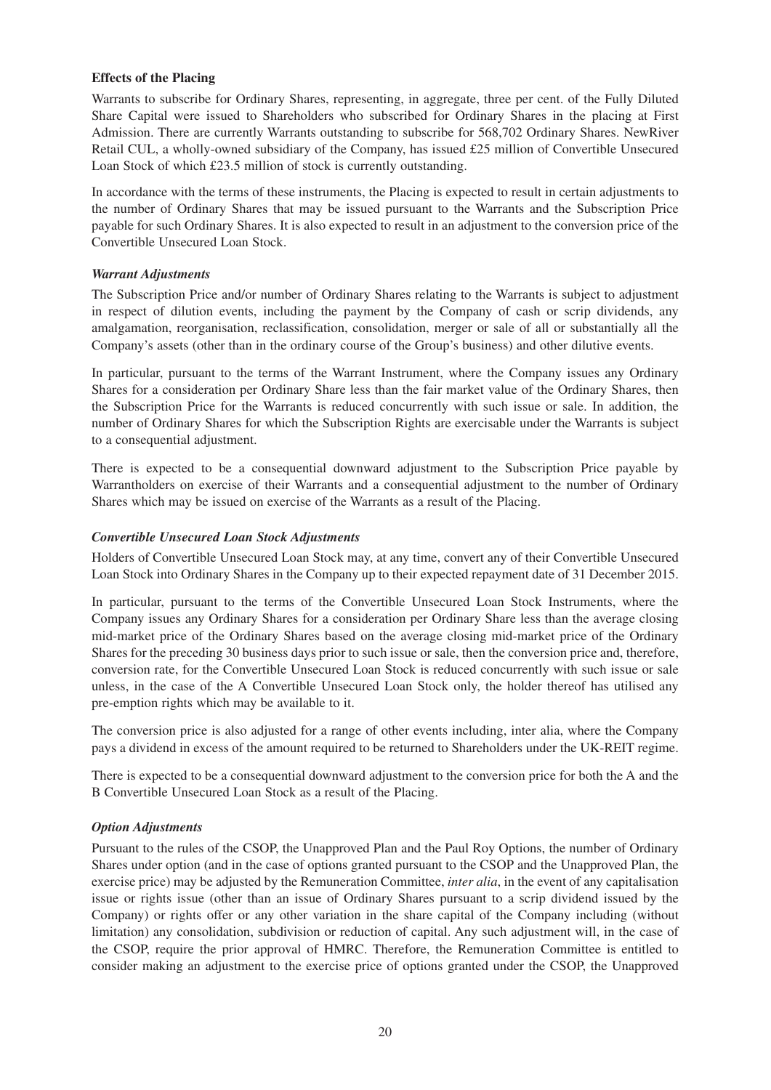#### **Effects of the Placing**

Warrants to subscribe for Ordinary Shares, representing, in aggregate, three per cent. of the Fully Diluted Share Capital were issued to Shareholders who subscribed for Ordinary Shares in the placing at First Admission. There are currently Warrants outstanding to subscribe for 568,702 Ordinary Shares. NewRiver Retail CUL, a wholly-owned subsidiary of the Company, has issued £25 million of Convertible Unsecured Loan Stock of which £23.5 million of stock is currently outstanding.

In accordance with the terms of these instruments, the Placing is expected to result in certain adjustments to the number of Ordinary Shares that may be issued pursuant to the Warrants and the Subscription Price payable for such Ordinary Shares. It is also expected to result in an adjustment to the conversion price of the Convertible Unsecured Loan Stock.

#### *Warrant Adjustments*

The Subscription Price and/or number of Ordinary Shares relating to the Warrants is subject to adjustment in respect of dilution events, including the payment by the Company of cash or scrip dividends, any amalgamation, reorganisation, reclassification, consolidation, merger or sale of all or substantially all the Company's assets (other than in the ordinary course of the Group's business) and other dilutive events.

In particular, pursuant to the terms of the Warrant Instrument, where the Company issues any Ordinary Shares for a consideration per Ordinary Share less than the fair market value of the Ordinary Shares, then the Subscription Price for the Warrants is reduced concurrently with such issue or sale. In addition, the number of Ordinary Shares for which the Subscription Rights are exercisable under the Warrants is subject to a consequential adjustment.

There is expected to be a consequential downward adjustment to the Subscription Price payable by Warrantholders on exercise of their Warrants and a consequential adjustment to the number of Ordinary Shares which may be issued on exercise of the Warrants as a result of the Placing.

#### *Convertible Unsecured Loan Stock Adjustments*

Holders of Convertible Unsecured Loan Stock may, at any time, convert any of their Convertible Unsecured Loan Stock into Ordinary Shares in the Company up to their expected repayment date of 31 December 2015.

In particular, pursuant to the terms of the Convertible Unsecured Loan Stock Instruments, where the Company issues any Ordinary Shares for a consideration per Ordinary Share less than the average closing mid-market price of the Ordinary Shares based on the average closing mid-market price of the Ordinary Shares for the preceding 30 business days prior to such issue or sale, then the conversion price and, therefore, conversion rate, for the Convertible Unsecured Loan Stock is reduced concurrently with such issue or sale unless, in the case of the A Convertible Unsecured Loan Stock only, the holder thereof has utilised any pre-emption rights which may be available to it.

The conversion price is also adjusted for a range of other events including, inter alia, where the Company pays a dividend in excess of the amount required to be returned to Shareholders under the UK-REIT regime.

There is expected to be a consequential downward adjustment to the conversion price for both the A and the B Convertible Unsecured Loan Stock as a result of the Placing.

#### *Option Adjustments*

Pursuant to the rules of the CSOP, the Unapproved Plan and the Paul Roy Options, the number of Ordinary Shares under option (and in the case of options granted pursuant to the CSOP and the Unapproved Plan, the exercise price) may be adjusted by the Remuneration Committee, *inter alia*, in the event of any capitalisation issue or rights issue (other than an issue of Ordinary Shares pursuant to a scrip dividend issued by the Company) or rights offer or any other variation in the share capital of the Company including (without limitation) any consolidation, subdivision or reduction of capital. Any such adjustment will, in the case of the CSOP, require the prior approval of HMRC. Therefore, the Remuneration Committee is entitled to consider making an adjustment to the exercise price of options granted under the CSOP, the Unapproved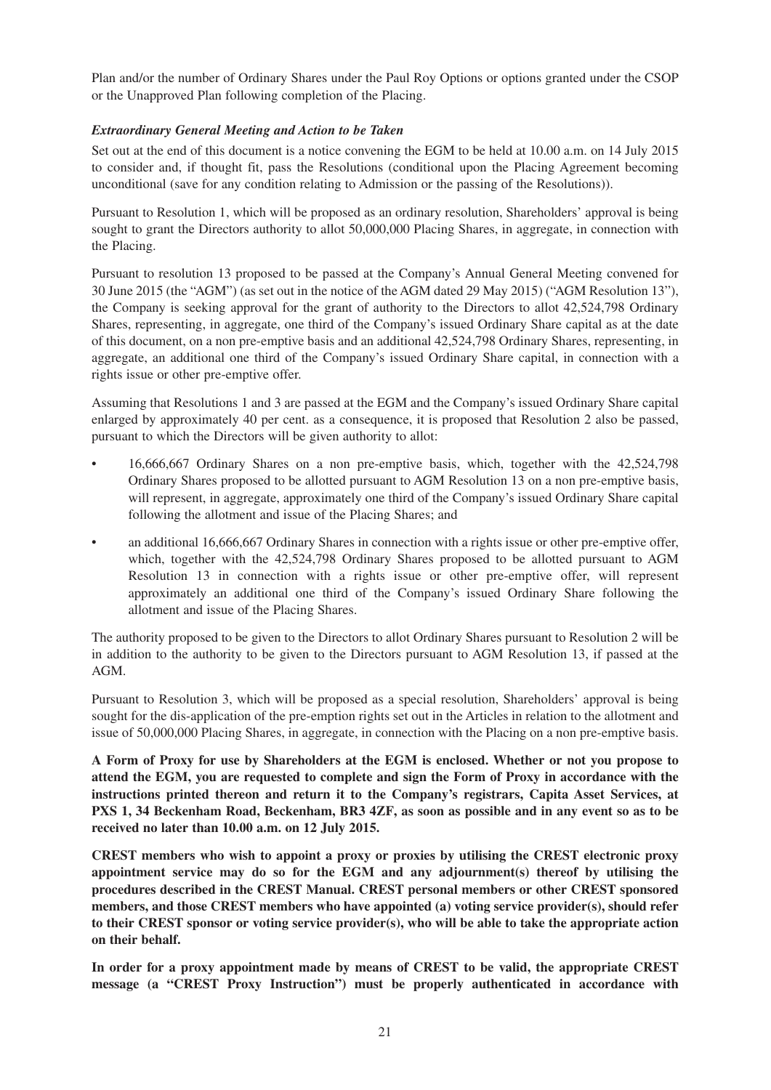Plan and/or the number of Ordinary Shares under the Paul Roy Options or options granted under the CSOP or the Unapproved Plan following completion of the Placing.

#### *Extraordinary General Meeting and Action to be Taken*

Set out at the end of this document is a notice convening the EGM to be held at 10.00 a.m. on 14 July 2015 to consider and, if thought fit, pass the Resolutions (conditional upon the Placing Agreement becoming unconditional (save for any condition relating to Admission or the passing of the Resolutions)).

Pursuant to Resolution 1, which will be proposed as an ordinary resolution, Shareholders' approval is being sought to grant the Directors authority to allot 50,000,000 Placing Shares, in aggregate, in connection with the Placing.

Pursuant to resolution 13 proposed to be passed at the Company's Annual General Meeting convened for 30 June 2015 (the "AGM") (as set out in the notice of the AGM dated 29 May 2015) ("AGM Resolution 13"), the Company is seeking approval for the grant of authority to the Directors to allot 42,524,798 Ordinary Shares, representing, in aggregate, one third of the Company's issued Ordinary Share capital as at the date of this document, on a non pre-emptive basis and an additional 42,524,798 Ordinary Shares, representing, in aggregate, an additional one third of the Company's issued Ordinary Share capital, in connection with a rights issue or other pre-emptive offer.

Assuming that Resolutions 1 and 3 are passed at the EGM and the Company's issued Ordinary Share capital enlarged by approximately 40 per cent. as a consequence, it is proposed that Resolution 2 also be passed, pursuant to which the Directors will be given authority to allot:

- 16,666,667 Ordinary Shares on a non pre-emptive basis, which, together with the 42,524,798 Ordinary Shares proposed to be allotted pursuant to AGM Resolution 13 on a non pre-emptive basis, will represent, in aggregate, approximately one third of the Company's issued Ordinary Share capital following the allotment and issue of the Placing Shares; and
- an additional 16,666,667 Ordinary Shares in connection with a rights issue or other pre-emptive offer, which, together with the 42,524,798 Ordinary Shares proposed to be allotted pursuant to AGM Resolution 13 in connection with a rights issue or other pre-emptive offer, will represent approximately an additional one third of the Company's issued Ordinary Share following the allotment and issue of the Placing Shares.

The authority proposed to be given to the Directors to allot Ordinary Shares pursuant to Resolution 2 will be in addition to the authority to be given to the Directors pursuant to AGM Resolution 13, if passed at the AGM.

Pursuant to Resolution 3, which will be proposed as a special resolution, Shareholders' approval is being sought for the dis-application of the pre-emption rights set out in the Articles in relation to the allotment and issue of 50,000,000 Placing Shares, in aggregate, in connection with the Placing on a non pre-emptive basis.

**A Form of Proxy for use by Shareholders at the EGM is enclosed. Whether or not you propose to attend the EGM, you are requested to complete and sign the Form of Proxy in accordance with the instructions printed thereon and return it to the Company's registrars, Capita Asset Services, at PXS 1, 34 Beckenham Road, Beckenham, BR3 4ZF, as soon as possible and in any event so as to be received no later than 10.00 a.m. on 12 July 2015.**

**CREST members who wish to appoint a proxy or proxies by utilising the CREST electronic proxy appointment service may do so for the EGM and any adjournment(s) thereof by utilising the procedures described in the CREST Manual. CREST personal members or other CREST sponsored members, and those CREST members who have appointed (a) voting service provider(s), should refer to their CREST sponsor or voting service provider(s), who will be able to take the appropriate action on their behalf.**

**In order for a proxy appointment made by means of CREST to be valid, the appropriate CREST message (a "CREST Proxy Instruction") must be properly authenticated in accordance with**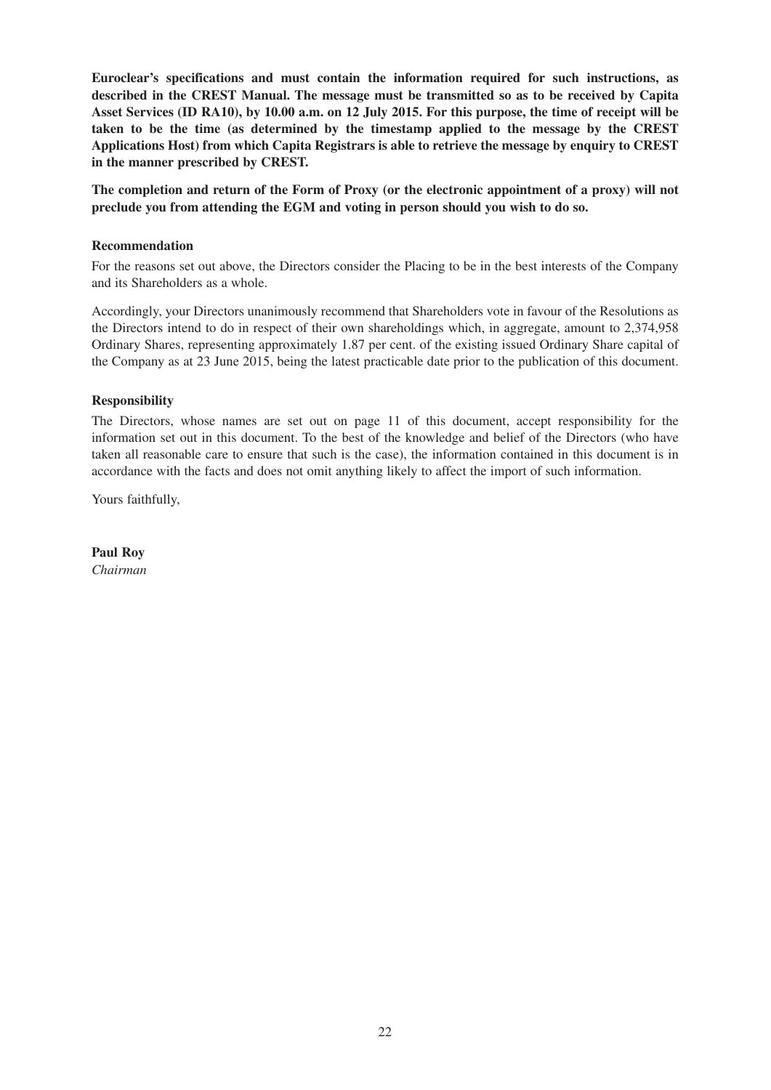**Euroclear's specifications and must contain the information required for such instructions, as described in the CREST Manual. The message must be transmitted so as to be received by Capita Asset Services (ID RA10), by 10.00 a.m. on 12 July 2015. For this purpose, the time of receipt will be taken to be the time (as determined by the timestamp applied to the message by the CREST Applications Host) from which Capita Registrars is able to retrieve the message by enquiry to CREST in the manner prescribed by CREST.**

**The completion and return of the Form of Proxy (or the electronic appointment of a proxy) will not preclude you from attending the EGM and voting in person should you wish to do so.**

#### **Recommendation**

For the reasons set out above, the Directors consider the Placing to be in the best interests of the Company and its Shareholders as a whole.

Accordingly, your Directors unanimously recommend that Shareholders vote in favour of the Resolutions as the Directors intend to do in respect of their own shareholdings which, in aggregate, amount to 2,374,958 Ordinary Shares, representing approximately 1.87 per cent. of the existing issued Ordinary Share capital of the Company as at 23 June 2015, being the latest practicable date prior to the publication of this document.

#### **Responsibility**

The Directors, whose names are set out on page 11 of this document, accept responsibility for the information set out in this document. To the best of the knowledge and belief of the Directors (who have taken all reasonable care to ensure that such is the case), the information contained in this document is in accordance with the facts and does not omit anything likely to affect the import of such information.

Yours faithfully,

**Paul Roy** *Chairman*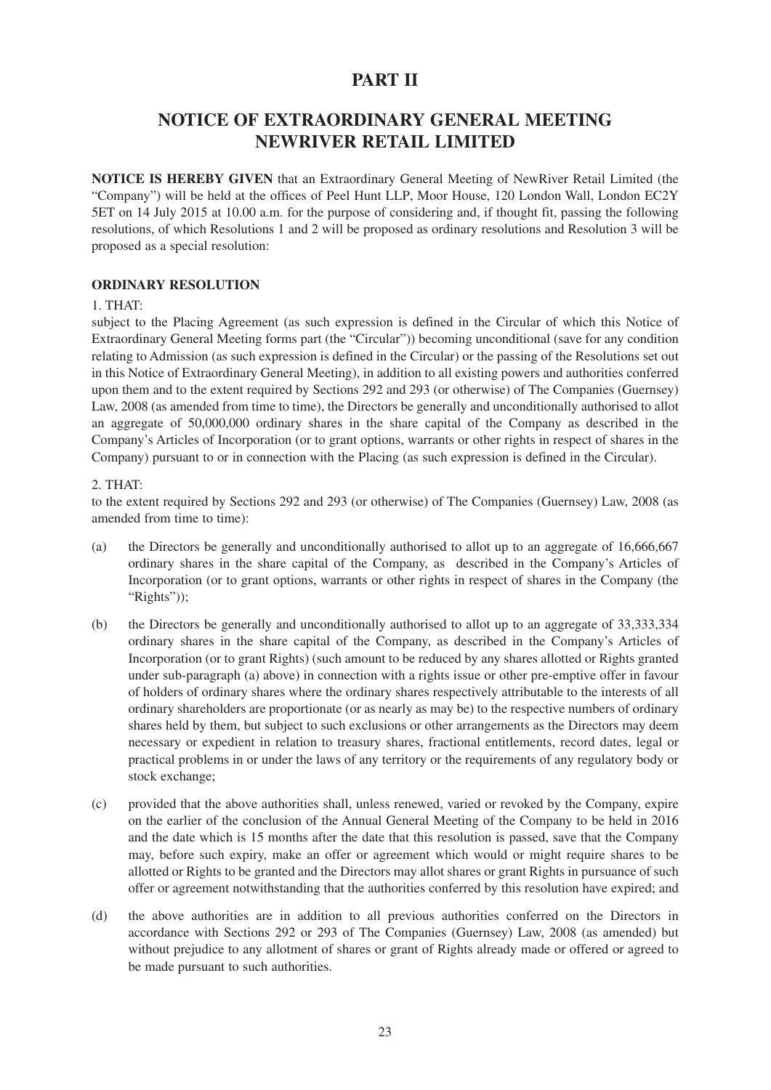## **PART II**

# **NOTICE OF EXTRAORDINARY GENERAL MEETING NEWRIVER RETAIL LIMITED**

**NOTICE IS HEREBY GIVEN** that an Extraordinary General Meeting of NewRiver Retail Limited (the "Company") will be held at the offices of Peel Hunt LLP, Moor House, 120 London Wall, London EC2Y 5ET on 14 July 2015 at 10.00 a.m. for the purpose of considering and, if thought fit, passing the following resolutions, of which Resolutions 1 and 2 will be proposed as ordinary resolutions and Resolution 3 will be proposed as a special resolution:

#### **ORDINARY RESOLUTION**

#### 1. THAT:

subject to the Placing Agreement (as such expression is defined in the Circular of which this Notice of Extraordinary General Meeting forms part (the "Circular")) becoming unconditional (save for any condition relating to Admission (as such expression is defined in the Circular) or the passing of the Resolutions set out in this Notice of Extraordinary General Meeting), in addition to all existing powers and authorities conferred upon them and to the extent required by Sections 292 and 293 (or otherwise) of The Companies (Guernsey) Law, 2008 (as amended from time to time), the Directors be generally and unconditionally authorised to allot an aggregate of 50,000,000 ordinary shares in the share capital of the Company as described in the Company's Articles of Incorporation (or to grant options, warrants or other rights in respect of shares in the Company) pursuant to or in connection with the Placing (as such expression is defined in the Circular).

#### 2. THAT:

to the extent required by Sections 292 and 293 (or otherwise) of The Companies (Guernsey) Law, 2008 (as amended from time to time):

- (a) the Directors be generally and unconditionally authorised to allot up to an aggregate of 16,666,667 ordinary shares in the share capital of the Company, as described in the Company's Articles of Incorporation (or to grant options, warrants or other rights in respect of shares in the Company (the "Rights"));
- (b) the Directors be generally and unconditionally authorised to allot up to an aggregate of 33,333,334 ordinary shares in the share capital of the Company, as described in the Company's Articles of Incorporation (or to grant Rights) (such amount to be reduced by any shares allotted or Rights granted under sub-paragraph (a) above) in connection with a rights issue or other pre-emptive offer in favour of holders of ordinary shares where the ordinary shares respectively attributable to the interests of all ordinary shareholders are proportionate (or as nearly as may be) to the respective numbers of ordinary shares held by them, but subject to such exclusions or other arrangements as the Directors may deem necessary or expedient in relation to treasury shares, fractional entitlements, record dates, legal or practical problems in or under the laws of any territory or the requirements of any regulatory body or stock exchange;
- (c) provided that the above authorities shall, unless renewed, varied or revoked by the Company, expire on the earlier of the conclusion of the Annual General Meeting of the Company to be held in 2016 and the date which is 15 months after the date that this resolution is passed, save that the Company may, before such expiry, make an offer or agreement which would or might require shares to be allotted or Rights to be granted and the Directors may allot shares or grant Rights in pursuance of such offer or agreement notwithstanding that the authorities conferred by this resolution have expired; and
- (d) the above authorities are in addition to all previous authorities conferred on the Directors in accordance with Sections 292 or 293 of The Companies (Guernsey) Law, 2008 (as amended) but without prejudice to any allotment of shares or grant of Rights already made or offered or agreed to be made pursuant to such authorities.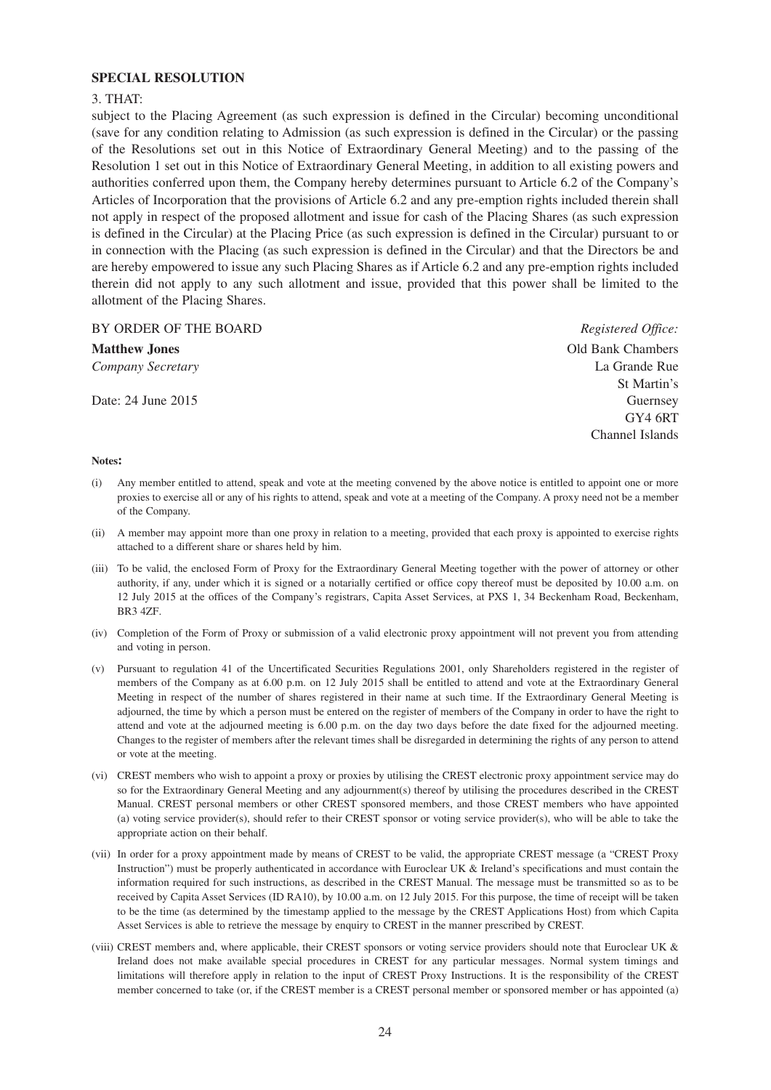#### **SPECIAL RESOLUTION**

#### 3. THAT:

subject to the Placing Agreement (as such expression is defined in the Circular) becoming unconditional (save for any condition relating to Admission (as such expression is defined in the Circular) or the passing of the Resolutions set out in this Notice of Extraordinary General Meeting) and to the passing of the Resolution 1 set out in this Notice of Extraordinary General Meeting, in addition to all existing powers and authorities conferred upon them, the Company hereby determines pursuant to Article 6.2 of the Company's Articles of Incorporation that the provisions of Article 6.2 and any pre-emption rights included therein shall not apply in respect of the proposed allotment and issue for cash of the Placing Shares (as such expression is defined in the Circular) at the Placing Price (as such expression is defined in the Circular) pursuant to or in connection with the Placing (as such expression is defined in the Circular) and that the Directors be and are hereby empowered to issue any such Placing Shares as if Article 6.2 and any pre-emption rights included therein did not apply to any such allotment and issue, provided that this power shall be limited to the allotment of the Placing Shares.

#### BY ORDER OF THE BOARD *Registered Office:*

**Matthew Jones** Old Bank Chambers **Old Bank Chambers** *Company Secretary* La Grande Rue St Martin's Date: 24 June 2015 Guernsey GY4 6RT Channel Islands

#### **Notes:**

- (i) Any member entitled to attend, speak and vote at the meeting convened by the above notice is entitled to appoint one or more proxies to exercise all or any of his rights to attend, speak and vote at a meeting of the Company. A proxy need not be a member of the Company.
- (ii) A member may appoint more than one proxy in relation to a meeting, provided that each proxy is appointed to exercise rights attached to a different share or shares held by him.
- (iii) To be valid, the enclosed Form of Proxy for the Extraordinary General Meeting together with the power of attorney or other authority, if any, under which it is signed or a notarially certified or office copy thereof must be deposited by 10.00 a.m. on 12 July 2015 at the offices of the Company's registrars, Capita Asset Services, at PXS 1, 34 Beckenham Road, Beckenham, BR3 4ZF.
- (iv) Completion of the Form of Proxy or submission of a valid electronic proxy appointment will not prevent you from attending and voting in person.
- (v) Pursuant to regulation 41 of the Uncertificated Securities Regulations 2001, only Shareholders registered in the register of members of the Company as at 6.00 p.m. on 12 July 2015 shall be entitled to attend and vote at the Extraordinary General Meeting in respect of the number of shares registered in their name at such time. If the Extraordinary General Meeting is adjourned, the time by which a person must be entered on the register of members of the Company in order to have the right to attend and vote at the adjourned meeting is 6.00 p.m. on the day two days before the date fixed for the adjourned meeting. Changes to the register of members after the relevant times shall be disregarded in determining the rights of any person to attend or vote at the meeting.
- (vi) CREST members who wish to appoint a proxy or proxies by utilising the CREST electronic proxy appointment service may do so for the Extraordinary General Meeting and any adjournment(s) thereof by utilising the procedures described in the CREST Manual. CREST personal members or other CREST sponsored members, and those CREST members who have appointed (a) voting service provider(s), should refer to their CREST sponsor or voting service provider(s), who will be able to take the appropriate action on their behalf.
- (vii) In order for a proxy appointment made by means of CREST to be valid, the appropriate CREST message (a "CREST Proxy Instruction") must be properly authenticated in accordance with Euroclear UK & Ireland's specifications and must contain the information required for such instructions, as described in the CREST Manual. The message must be transmitted so as to be received by Capita Asset Services (ID RA10), by 10.00 a.m. on 12 July 2015. For this purpose, the time of receipt will be taken to be the time (as determined by the timestamp applied to the message by the CREST Applications Host) from which Capita Asset Services is able to retrieve the message by enquiry to CREST in the manner prescribed by CREST.
- (viii) CREST members and, where applicable, their CREST sponsors or voting service providers should note that Euroclear UK & Ireland does not make available special procedures in CREST for any particular messages. Normal system timings and limitations will therefore apply in relation to the input of CREST Proxy Instructions. It is the responsibility of the CREST member concerned to take (or, if the CREST member is a CREST personal member or sponsored member or has appointed (a)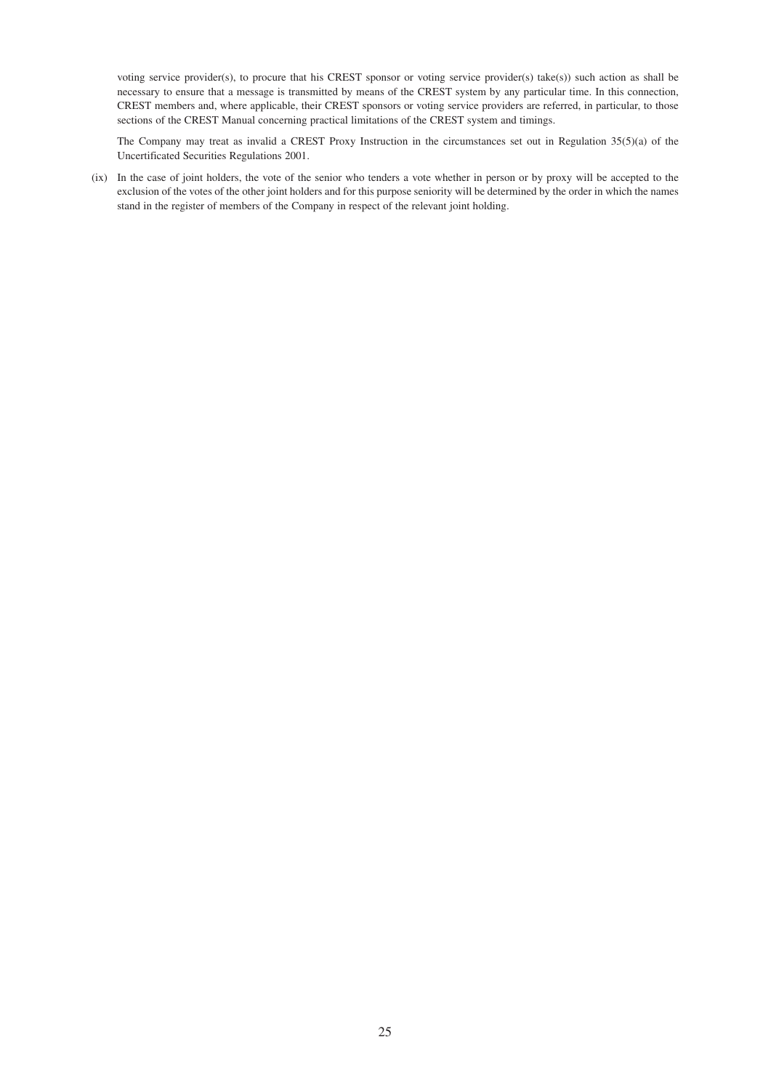voting service provider(s), to procure that his CREST sponsor or voting service provider(s) take(s)) such action as shall be necessary to ensure that a message is transmitted by means of the CREST system by any particular time. In this connection, CREST members and, where applicable, their CREST sponsors or voting service providers are referred, in particular, to those sections of the CREST Manual concerning practical limitations of the CREST system and timings.

The Company may treat as invalid a CREST Proxy Instruction in the circumstances set out in Regulation 35(5)(a) of the Uncertificated Securities Regulations 2001.

(ix) In the case of joint holders, the vote of the senior who tenders a vote whether in person or by proxy will be accepted to the exclusion of the votes of the other joint holders and for this purpose seniority will be determined by the order in which the names stand in the register of members of the Company in respect of the relevant joint holding.